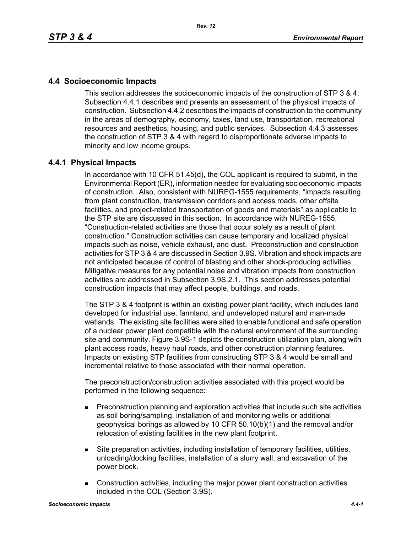# **4.4 Socioeconomic Impacts**

This section addresses the socioeconomic impacts of the construction of STP 3 & 4. Subsection 4.4.1 describes and presents an assessment of the physical impacts of construction. Subsection 4.4.2 describes the impacts of construction to the community in the areas of demography, economy, taxes, land use, transportation, recreational resources and aesthetics, housing, and public services. Subsection 4.4.3 assesses the construction of STP 3 & 4 with regard to disproportionate adverse impacts to minority and low income groups.

## **4.4.1 Physical Impacts**

In accordance with 10 CFR 51.45(d), the COL applicant is required to submit, in the Environmental Report (ER), information needed for evaluating socioeconomic impacts of construction. Also, consistent with NUREG-1555 requirements, "impacts resulting from plant construction, transmission corridors and access roads, other offsite facilities, and project-related transportation of goods and materials" as applicable to the STP site are discussed in this section. In accordance with NUREG-1555, "Construction-related activities are those that occur solely as a result of plant construction." Construction activities can cause temporary and localized physical impacts such as noise, vehicle exhaust, and dust. Preconstruction and construction activities for STP 3 & 4 are discussed in Section 3.9S. Vibration and shock impacts are not anticipated because of control of blasting and other shock-producing activities. Mitigative measures for any potential noise and vibration impacts from construction activities are addressed in Subsection 3.9S.2.1. This section addresses potential construction impacts that may affect people, buildings, and roads.

The STP 3 & 4 footprint is within an existing power plant facility, which includes land developed for industrial use, farmland, and undeveloped natural and man-made wetlands. The existing site facilities were sited to enable functional and safe operation of a nuclear power plant compatible with the natural environment of the surrounding site and community. Figure 3.9S-1 depicts the construction utilization plan, along with plant access roads, heavy haul roads, and other construction planning features. Impacts on existing STP facilities from constructing STP 3 & 4 would be small and incremental relative to those associated with their normal operation.

The preconstruction/construction activities associated with this project would be performed in the following sequence:

- **Preconstruction planning and exploration activities that include such site activities** as soil boring/sampling, installation of and monitoring wells or additional geophysical borings as allowed by 10 CFR 50.10(b)(1) and the removal and/or relocation of existing facilities in the new plant footprint.
- Site preparation activities, including installation of temporary facilities, utilities, unloading/docking facilities, installation of a slurry wall, and excavation of the power block.
- Construction activities, including the major power plant construction activities included in the COL (Section 3.9S).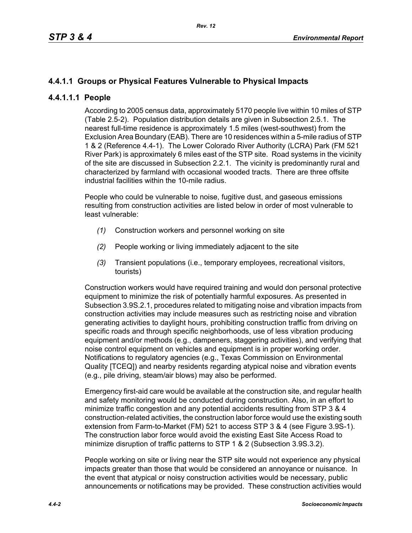# **4.4.1.1 Groups or Physical Features Vulnerable to Physical Impacts**

## **4.4.1.1.1 People**

According to 2005 census data, approximately 5170 people live within 10 miles of STP (Table 2.5-2). Population distribution details are given in Subsection 2.5.1. The nearest full-time residence is approximately 1.5 miles (west-southwest) from the Exclusion Area Boundary (EAB). There are 10 residences within a 5-mile radius of STP 1 & 2 (Reference 4.4-1). The Lower Colorado River Authority (LCRA) Park (FM 521 River Park) is approximately 6 miles east of the STP site. Road systems in the vicinity of the site are discussed in Subsection 2.2.1. The vicinity is predominantly rural and characterized by farmland with occasional wooded tracts. There are three offsite industrial facilities within the 10-mile radius.

People who could be vulnerable to noise, fugitive dust, and gaseous emissions resulting from construction activities are listed below in order of most vulnerable to least vulnerable:

- *(1)* Construction workers and personnel working on site
- *(2)* People working or living immediately adjacent to the site
- *(3)* Transient populations (i.e., temporary employees, recreational visitors, tourists)

Construction workers would have required training and would don personal protective equipment to minimize the risk of potentially harmful exposures. As presented in Subsection 3.9S.2.1, procedures related to mitigating noise and vibration impacts from construction activities may include measures such as restricting noise and vibration generating activities to daylight hours, prohibiting construction traffic from driving on specific roads and through specific neighborhoods, use of less vibration producing equipment and/or methods (e.g., dampeners, staggering activities), and verifying that noise control equipment on vehicles and equipment is in proper working order. Notifications to regulatory agencies (e.g., Texas Commission on Environmental Quality [TCEQ]) and nearby residents regarding atypical noise and vibration events (e.g., pile driving, steam/air blows) may also be performed.

Emergency first-aid care would be available at the construction site, and regular health and safety monitoring would be conducted during construction. Also, in an effort to minimize traffic congestion and any potential accidents resulting from STP 3 & 4 construction-related activities, the construction labor force would use the existing south extension from Farm-to-Market (FM) 521 to access STP 3 & 4 (see Figure 3.9S-1). The construction labor force would avoid the existing East Site Access Road to minimize disruption of traffic patterns to STP 1 & 2 (Subsection 3.9S.3.2).

People working on site or living near the STP site would not experience any physical impacts greater than those that would be considered an annoyance or nuisance. In the event that atypical or noisy construction activities would be necessary, public announcements or notifications may be provided. These construction activities would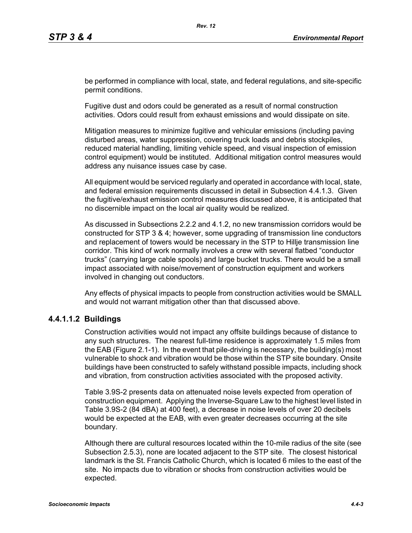be performed in compliance with local, state, and federal regulations, and site-specific permit conditions.

Fugitive dust and odors could be generated as a result of normal construction activities. Odors could result from exhaust emissions and would dissipate on site.

Mitigation measures to minimize fugitive and vehicular emissions (including paving disturbed areas, water suppression, covering truck loads and debris stockpiles, reduced material handling, limiting vehicle speed, and visual inspection of emission control equipment) would be instituted. Additional mitigation control measures would address any nuisance issues case by case.

All equipment would be serviced regularly and operated in accordance with local, state, and federal emission requirements discussed in detail in Subsection 4.4.1.3. Given the fugitive/exhaust emission control measures discussed above, it is anticipated that no discernible impact on the local air quality would be realized.

As discussed in Subsections 2.2.2 and 4.1.2, no new transmission corridors would be constructed for STP 3 & 4; however, some upgrading of transmission line conductors and replacement of towers would be necessary in the STP to Hillje transmission line corridor. This kind of work normally involves a crew with several flatbed "conductor trucks" (carrying large cable spools) and large bucket trucks. There would be a small impact associated with noise/movement of construction equipment and workers involved in changing out conductors.

Any effects of physical impacts to people from construction activities would be SMALL and would not warrant mitigation other than that discussed above.

## **4.4.1.1.2 Buildings**

Construction activities would not impact any offsite buildings because of distance to any such structures. The nearest full-time residence is approximately 1.5 miles from the EAB (Figure 2.1-1). In the event that pile-driving is necessary, the building(s) most vulnerable to shock and vibration would be those within the STP site boundary. Onsite buildings have been constructed to safely withstand possible impacts, including shock and vibration, from construction activities associated with the proposed activity.

Table 3.9S-2 presents data on attenuated noise levels expected from operation of construction equipment. Applying the Inverse-Square Law to the highest level listed in Table 3.9S-2 (84 dBA) at 400 feet), a decrease in noise levels of over 20 decibels would be expected at the EAB, with even greater decreases occurring at the site boundary.

Although there are cultural resources located within the 10-mile radius of the site (see Subsection 2.5.3), none are located adjacent to the STP site. The closest historical landmark is the St. Francis Catholic Church, which is located 6 miles to the east of the site. No impacts due to vibration or shocks from construction activities would be expected.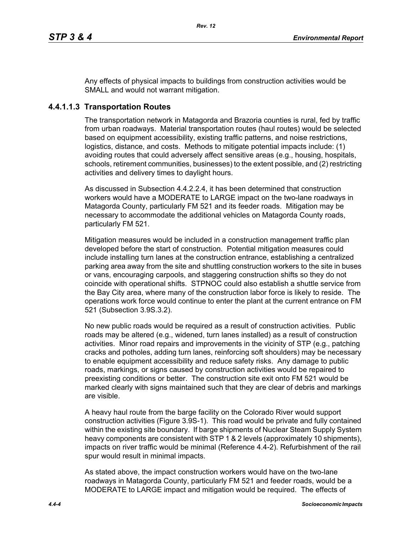Any effects of physical impacts to buildings from construction activities would be SMALL and would not warrant mitigation.

## **4.4.1.1.3 Transportation Routes**

The transportation network in Matagorda and Brazoria counties is rural, fed by traffic from urban roadways. Material transportation routes (haul routes) would be selected based on equipment accessibility, existing traffic patterns, and noise restrictions, logistics, distance, and costs. Methods to mitigate potential impacts include: (1) avoiding routes that could adversely affect sensitive areas (e.g., housing, hospitals, schools, retirement communities, businesses) to the extent possible, and (2) restricting activities and delivery times to daylight hours.

As discussed in Subsection 4.4.2.2.4, it has been determined that construction workers would have a MODERATE to LARGE impact on the two-lane roadways in Matagorda County, particularly FM 521 and its feeder roads. Mitigation may be necessary to accommodate the additional vehicles on Matagorda County roads, particularly FM 521.

Mitigation measures would be included in a construction management traffic plan developed before the start of construction. Potential mitigation measures could include installing turn lanes at the construction entrance, establishing a centralized parking area away from the site and shuttling construction workers to the site in buses or vans, encouraging carpools, and staggering construction shifts so they do not coincide with operational shifts. STPNOC could also establish a shuttle service from the Bay City area, where many of the construction labor force is likely to reside. The operations work force would continue to enter the plant at the current entrance on FM 521 (Subsection 3.9S.3.2).

No new public roads would be required as a result of construction activities. Public roads may be altered (e.g., widened, turn lanes installed) as a result of construction activities. Minor road repairs and improvements in the vicinity of STP (e.g., patching cracks and potholes, adding turn lanes, reinforcing soft shoulders) may be necessary to enable equipment accessibility and reduce safety risks. Any damage to public roads, markings, or signs caused by construction activities would be repaired to preexisting conditions or better. The construction site exit onto FM 521 would be marked clearly with signs maintained such that they are clear of debris and markings are visible.

A heavy haul route from the barge facility on the Colorado River would support construction activities (Figure 3.9S-1). This road would be private and fully contained within the existing site boundary. If barge shipments of Nuclear Steam Supply System heavy components are consistent with STP 1 & 2 levels (approximately 10 shipments). impacts on river traffic would be minimal (Reference 4.4-2). Refurbishment of the rail spur would result in minimal impacts.

As stated above, the impact construction workers would have on the two-lane roadways in Matagorda County, particularly FM 521 and feeder roads, would be a MODERATE to LARGE impact and mitigation would be required. The effects of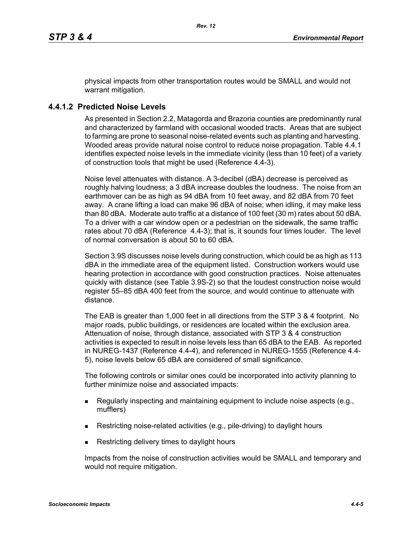physical impacts from other transportation routes would be SMALL and would not warrant mitigation.

## **4.4.1.2 Predicted Noise Levels**

As presented in Section 2.2, Matagorda and Brazoria counties are predominantly rural and characterized by farmland with occasional wooded tracts. Areas that are subject to farming are prone to seasonal noise-related events such as planting and harvesting. Wooded areas provide natural noise control to reduce noise propagation. Table 4.4.1 identifies expected noise levels in the immediate vicinity (less than 10 feet) of a variety of construction tools that might be used (Reference 4.4-3).

Noise level attenuates with distance. A 3-decibel (dBA) decrease is perceived as roughly halving loudness; a 3 dBA increase doubles the loudness. The noise from an earthmover can be as high as 94 dBA from 10 feet away, and 82 dBA from 70 feet away. A crane lifting a load can make 96 dBA of noise; when idling, it may make less than 80 dBA. Moderate auto traffic at a distance of 100 feet (30 m) rates about 50 dBA. To a driver with a car window open or a pedestrian on the sidewalk, the same traffic rates about 70 dBA (Reference 4.4-3); that is, it sounds four times louder. The level of normal conversation is about 50 to 60 dBA.

Section 3.9S discusses noise levels during construction, which could be as high as 113 dBA in the immediate area of the equipment listed. Construction workers would use hearing protection in accordance with good construction practices. Noise attenuates quickly with distance (see Table 3.9S-2) so that the loudest construction noise would register 55–85 dBA 400 feet from the source, and would continue to attenuate with distance.

The EAB is greater than 1,000 feet in all directions from the STP 3 & 4 footprint. No major roads, public buildings, or residences are located within the exclusion area. Attenuation of noise, through distance, associated with STP 3 & 4 construction activities is expected to result in noise levels less than 65 dBA to the EAB. As reported in NUREG-1437 (Reference 4.4-4), and referenced in NUREG-1555 (Reference 4.4- 5), noise levels below 65 dBA are considered of small significance.

The following controls or similar ones could be incorporated into activity planning to further minimize noise and associated impacts:

- Regularly inspecting and maintaining equipment to include noise aspects (e.g., mufflers)
- Restricting noise-related activities (e.g., pile-driving) to daylight hours
- Restricting delivery times to daylight hours

Impacts from the noise of construction activities would be SMALL and temporary and would not require mitigation.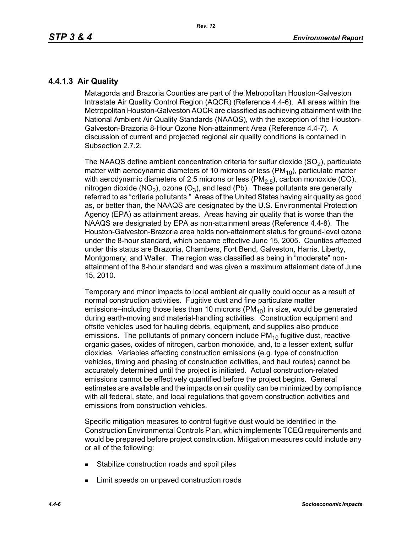## **4.4.1.3 Air Quality**

Matagorda and Brazoria Counties are part of the Metropolitan Houston-Galveston Intrastate Air Quality Control Region (AQCR) (Reference 4.4-6). All areas within the Metropolitan Houston-Galveston AQCR are classified as achieving attainment with the National Ambient Air Quality Standards (NAAQS), with the exception of the Houston-Galveston-Brazoria 8-Hour Ozone Non-attainment Area (Reference 4.4-7). A discussion of current and projected regional air quality conditions is contained in Subsection 2.7.2.

The NAAQS define ambient concentration criteria for sulfur dioxide  $(SO<sub>2</sub>)$ , particulate matter with aerodynamic diameters of 10 microns or less ( $PM_{10}$ ), particulate matter with aerodynamic diameters of 2.5 microns or less ( $PM<sub>2.5</sub>$ ), carbon monoxide (CO), nitrogen dioxide (NO<sub>2</sub>), ozone (O<sub>3</sub>), and lead (Pb). These pollutants are generally referred to as "criteria pollutants." Areas of the United States having air quality as good as, or better than, the NAAQS are designated by the U.S. Environmental Protection Agency (EPA) as attainment areas. Areas having air quality that is worse than the NAAQS are designated by EPA as non-attainment areas (Reference 4.4-8). The Houston-Galveston-Brazoria area holds non-attainment status for ground-level ozone under the 8-hour standard, which became effective June 15, 2005. Counties affected under this status are Brazoria, Chambers, Fort Bend, Galveston, Harris, Liberty, Montgomery, and Waller. The region was classified as being in "moderate" nonattainment of the 8-hour standard and was given a maximum attainment date of June 15, 2010.

Temporary and minor impacts to local ambient air quality could occur as a result of normal construction activities. Fugitive dust and fine particulate matter emissions–including those less than 10 microns  $(PM_{10})$  in size, would be generated during earth-moving and material-handling activities. Construction equipment and offsite vehicles used for hauling debris, equipment, and supplies also produce emissions. The pollutants of primary concern include  $PM_{10}$  fugitive dust, reactive organic gases, oxides of nitrogen, carbon monoxide, and, to a lesser extent, sulfur dioxides. Variables affecting construction emissions (e.g. type of construction vehicles, timing and phasing of construction activities, and haul routes) cannot be accurately determined until the project is initiated. Actual construction-related emissions cannot be effectively quantified before the project begins. General estimates are available and the impacts on air quality can be minimized by compliance with all federal, state, and local regulations that govern construction activities and emissions from construction vehicles.

Specific mitigation measures to control fugitive dust would be identified in the Construction Environmental Controls Plan, which implements TCEQ requirements and would be prepared before project construction. Mitigation measures could include any or all of the following:

- **Stabilize construction roads and spoil piles**
- **EXECUTE:** Limit speeds on unpaved construction roads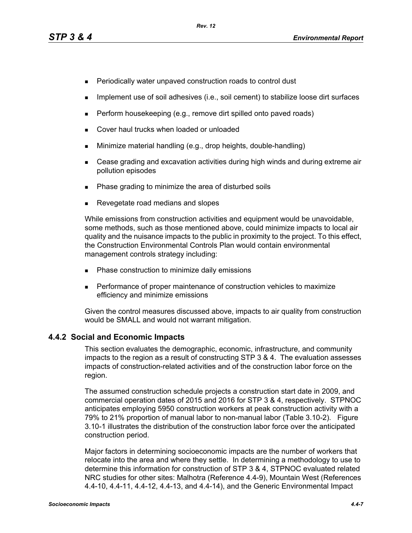- **Periodically water unpaved construction roads to control dust**
- **IMPLEMENT USE OF SOIL ADDES** (i.e., soil cement) to stabilize loose dirt surfaces
- $\blacksquare$  Perform housekeeping (e.g., remove dirt spilled onto paved roads)
- **Cover haul trucks when loaded or unloaded**
- **Minimize material handling (e.g., drop heights, double-handling)**
- Cease grading and excavation activities during high winds and during extreme air pollution episodes
- Phase grading to minimize the area of disturbed soils
- Revegetate road medians and slopes

While emissions from construction activities and equipment would be unavoidable, some methods, such as those mentioned above, could minimize impacts to local air quality and the nuisance impacts to the public in proximity to the project. To this effect, the Construction Environmental Controls Plan would contain environmental management controls strategy including:

- **Phase construction to minimize daily emissions**
- **Performance of proper maintenance of construction vehicles to maximize** efficiency and minimize emissions

[Given the control measures discussed above, impacts to air quality from construction](http://factfinder.census.gov/)  would be SMALL and would not warrant mitigation.

## **4.4.2 Social and Economic Impacts**

This section evaluates the demographic, economic, infrastructure, and community impacts to the region as a result of constructing STP 3 & 4. The evaluation assesses impacts of construction-related activities and of the construction labor force on the region.

The assumed construction schedule projects a construction start date in 2009, and commercial operation dates of 2015 and 2016 for STP 3 & 4, respectively. STPNOC anticipates employing 5950 construction workers at peak construction activity with a 79% to 21% proportion of manual labor to non-manual labor (Table 3.10-2). Figure 3.10-1 illustrates the distribution of the construction labor force over the anticipated construction period.

[Major factors in determining socioeconomic impacts are the number of workers that](http://factfinder.census.gov/)  relocate into the area and where they settle. In determining a methodology to use to determine this information for construction of STP 3 & 4, STPNOC evaluated related [NRC studies for other sites: Malhotra \(Reference 4.4-9\), Mountain West \(References](http://factfinder.census.gov/)  [4.4-10, 4.4-11, 4.4-12, 4.4-13, and 4.4-14\), and the Generic Environmental Impact](http://factfinder.census.gov/)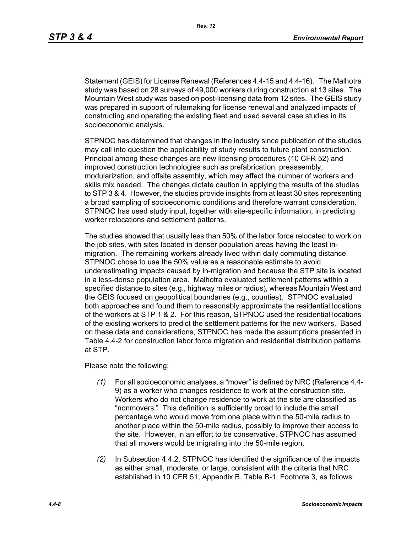[Statement \(GEIS\) for License Renewal \(References 4.4-15 and 4.4-16\). The Malhotra](http://factfinder.census.gov/)  study was based on 28 surveys of 49,000 workers during construction at 13 sites. The Mountain West study was based on post-licensing data from 12 sites. The GEIS study was prepared in support of rulemaking for license renewal and analyzed impacts of constructing and operating the existing fleet and used several case studies in its socioeconomic analysis.

STPNOC has determined that changes in the industry since publication of the studies may call into question the applicability of study results to future plant construction. Principal among these changes are new licensing procedures (10 CFR 52) and improved construction technologies such as prefabrication, preassembly, modularization, and offsite assembly, which may affect the number of workers and skills mix needed. The changes dictate caution in applying the results of the studies to STP 3 & 4. However, the studies provide insights from at least 30 sites representing a broad sampling of socioeconomic conditions and therefore warrant consideration. STPNOC has used study input, together with site-specific information, in predicting worker relocations and settlement patterns.

The studies showed that usually less than 50% of the labor force relocated to work on the job sites, with sites located in denser population areas having the least inmigration. The remaining workers already lived within daily commuting distance. STPNOC chose to use the 50% value as a reasonable estimate to avoid underestimating impacts caused by in-migration and because the STP site is located in a less-dense population area. Malhotra evaluated settlement patterns within a specified distance to sites (e.g., highway miles or radius), whereas Mountain West and the GEIS focused on geopolitical boundaries (e.g., counties). STPNOC evaluated both approaches and found them to reasonably approximate the residential locations of the workers at STP 1 & 2. For this reason, STPNOC used the residential locations of the existing workers to predict the settlement patterns for the new workers. Based on these data and considerations, STPNOC has made the assumptions presented in Table 4.4-2 for construction labor force migration and residential distribution patterns at STP.

Please note the following:

- *(1)* For all socioeconomic analyses, a "mover" is defined by NRC (Reference 4.4- 9) as a worker who changes residence to work at the construction site. Workers who do not change residence to work at the site are classified as "nonmovers." This definition is sufficiently broad to include the small percentage who would move from one place within the 50-mile radius to another place within the 50-mile radius, possibly to improve their access to the site. However, in an effort to be conservative, STPNOC has assumed that all movers would be migrating into the 50-mile region.
- *(2)* In Subsection 4.4.2, STPNOC has identified the significance of the impacts as either small, moderate, or large, consistent with the criteria that NRC established in 10 CFR 51, Appendix B, Table B-1, Footnote 3, as follows: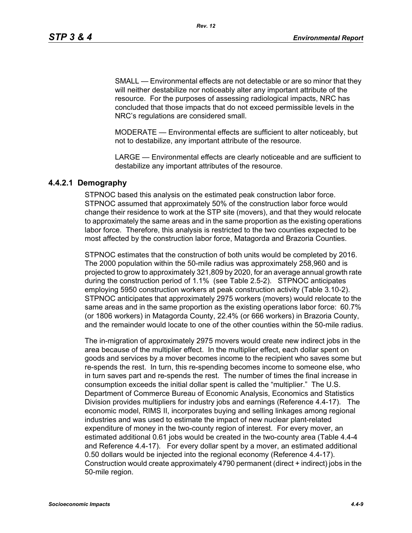SMALL — Environmental effects are not detectable or are so minor that they will neither destabilize nor noticeably alter any important attribute of the resource. For the purposes of assessing radiological impacts, NRC has concluded that those impacts that do not exceed permissible levels in the NRC's regulations are considered small.

MODERATE — Environmental effects are sufficient to alter noticeably, but not to destabilize, any important attribute of the resource.

LARGE — Environmental effects are clearly noticeable and are sufficient to destabilize any important attributes of the resource.

## **4.4.2.1 Demography**

STPNOC based this analysis on the estimated peak construction labor force. STPNOC assumed that approximately 50% of the construction labor force would change their residence to work at the STP site (movers), and that they would relocate to approximately the same areas and in the same proportion as the existing operations labor force. Therefore, this analysis is restricted to the two counties expected to be most affected by the construction labor force, Matagorda and Brazoria Counties.

STPNOC estimates that the construction of both units would be completed by 2016. The 2000 population within the 50-mile radius was approximately 258,960 and is projected to grow to approximately 321,809 by 2020, for an average annual growth rate during the construction period of 1.1% (see Table 2.5-2). STPNOC anticipates employing 5950 construction workers at peak construction activity (Table 3.10-2). STPNOC anticipates that approximately 2975 workers (movers) would relocate to the same areas and in the same proportion as the existing operations labor force: 60.7% (or 1806 workers) in Matagorda County, 22.4% (or 666 workers) in Brazoria County, and the remainder would locate to one of the other counties within the 50-mile radius.

The in-migration of approximately 2975 movers would create new indirect jobs in the area because of the multiplier effect. In the multiplier effect, each dollar spent on goods and services by a mover becomes income to the recipient who saves some but re-spends the rest. In turn, this re-spending becomes income to someone else, who in turn saves part and re-spends the rest. The number of times the final increase in consumption exceeds the initial dollar spent is called the "multiplier." The U.S. Department of Commerce Bureau of Economic Analysis, Economics and Statistics Division provides multipliers for industry jobs and earnings (Reference 4.4-17). The economic model, RIMS II, incorporates buying and selling linkages among regional industries and was used to estimate the impact of new nuclear plant-related expenditure of money in the two-county region of interest. For every mover, an estimated additional 0.61 jobs would be created in the two-county area (Table 4.4-4 and Reference 4.4-17). For every dollar spent by a mover, an estimated additional 0.50 dollars would be injected into the regional economy (Reference 4.4-17). Construction would create approximately 4790 permanent (direct + indirect) jobs in the 50-mile region.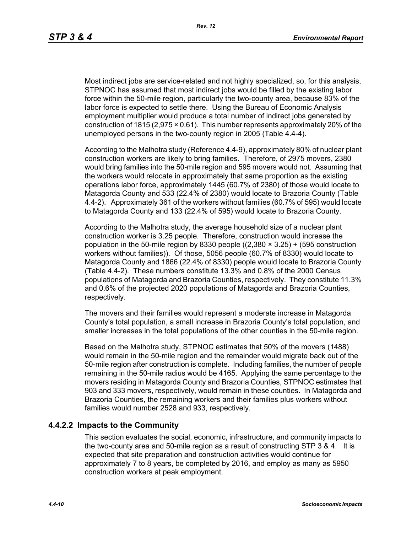Most indirect jobs are service-related and not highly specialized, so, for this analysis, STPNOC has assumed that most indirect jobs would be filled by the existing labor force within the 50-mile region, particularly the two-county area, because 83% of the labor force is expected to settle there. Using the Bureau of Economic Analysis employment multiplier would produce a total number of indirect jobs generated by construction of 1815 (2,975 × 0.61). This number represents approximately 20% of the unemployed persons in the two-county region in 2005 (Table 4.4-4).

According to the Malhotra study (Reference 4.4-9), approximately 80% of nuclear plant construction workers are likely to bring families. Therefore, of 2975 movers, 2380 would bring families into the 50-mile region and 595 movers would not. Assuming that the workers would relocate in approximately that same proportion as the existing operations labor force, approximately 1445 (60.7% of 2380) of those would locate to Matagorda County and 533 (22.4% of 2380) would locate to Brazoria County (Table 4.4-2). Approximately 361 of the workers without families (60.7% of 595) would locate to Matagorda County and 133 (22.4% of 595) would locate to Brazoria County.

According to the Malhotra study, the average household size of a nuclear plant construction worker is 3.25 people. Therefore, construction would increase the population in the 50-mile region by 8330 people  $((2,380 \times 3.25) + (595$  construction workers without families)). Of those, 5056 people (60.7% of 8330) would locate to Matagorda County and 1866 (22.4% of 8330) people would locate to Brazoria County (Table 4.4-2). These numbers constitute 13.3% and 0.8% of the 2000 Census populations of Matagorda and Brazoria Counties, respectively. They constitute 11.3% and 0.6% of the projected 2020 populations of Matagorda and Brazoria Counties, respectively.

The movers and their families would represent a moderate increase in Matagorda County's total population, a small increase in Brazoria County's total population, and smaller increases in the total populations of the other counties in the 50-mile region.

Based on the Malhotra study, STPNOC estimates that 50% of the movers (1488) would remain in the 50-mile region and the remainder would migrate back out of the 50-mile region after construction is complete. Including families, the number of people remaining in the 50-mile radius would be 4165. Applying the same percentage to the movers residing in Matagorda County and Brazoria Counties, STPNOC estimates that 903 and 333 movers, respectively, would remain in these counties. In Matagorda and Brazoria Counties, the remaining workers and their families plus workers without families would number 2528 and 933, respectively.

## **4.4.2.2 Impacts to the Community**

This section evaluates the social, economic, infrastructure, and community impacts to the two-county area and 50-mile region as a result of constructing STP 3 & 4. It is expected that site preparation and construction activities would continue for approximately 7 to 8 years, be completed by 2016, and employ as many as 5950 construction workers at peak employment.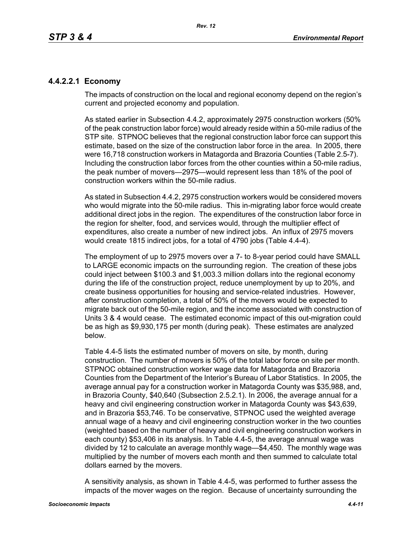# **4.4.2.2.1 Economy**

The impacts of construction on the local and regional economy depend on the region's current and projected economy and population.

As stated earlier in Subsection 4.4.2, approximately 2975 construction workers (50% of the peak construction labor force) would already reside within a 50-mile radius of the STP site. STPNOC believes that the regional construction labor force can support this estimate, based on the size of the construction labor force in the area. In 2005, there were 16,718 construction workers in Matagorda and Brazoria Counties (Table 2.5-7). Including the construction labor forces from the other counties within a 50-mile radius, the peak number of movers—2975—would represent less than 18% of the pool of construction workers within the 50-mile radius.

As stated in Subsection 4.4.2, 2975 construction workers would be considered movers who would migrate into the 50-mile radius. This in-migrating labor force would create additional direct jobs in the region. The expenditures of the construction labor force in the region for shelter, food, and services would, through the multiplier effect of expenditures, also create a number of new indirect jobs. An influx of 2975 movers would create 1815 indirect jobs, for a total of 4790 jobs (Table 4.4-4).

The employment of up to 2975 movers over a 7- to 8-year period could have SMALL to LARGE economic impacts on the surrounding region. The creation of these jobs could inject between \$100.3 and \$1,003.3 million dollars into the regional economy during the life of the construction project, reduce unemployment by up to 20%, and create business opportunities for housing and service-related industries. However, after construction completion, a total of 50% of the movers would be expected to migrate back out of the 50-mile region, and the income associated with construction of Units 3 & 4 would cease. The estimated economic impact of this out-migration could be as high as \$9,930,175 per month (during peak). These estimates are analyzed below.

Table 4.4-5 lists the estimated number of movers on site, by month, during construction. The number of movers is 50% of the total labor force on site per month. STPNOC obtained construction worker wage data for Matagorda and Brazoria Counties from the Department of the Interior's Bureau of Labor Statistics. In 2005, the average annual pay for a construction worker in Matagorda County was \$35,988, and, in Brazoria County, \$40,640 (Subsection 2.5.2.1). In 2006, the average annual for a heavy and civil engineering construction worker in Matagorda County was \$43,639, and in Brazoria \$53,746. To be conservative, STPNOC used the weighted average annual wage of a heavy and civil engineering construction worker in the two counties (weighted based on the number of heavy and civil engineering construction workers in each county) \$53,406 in its analysis. In Table 4.4-5, the average annual wage was divided by 12 to calculate an average monthly wage—\$4,450. The monthly wage was multiplied by the number of movers each month and then summed to calculate total dollars earned by the movers.

A sensitivity analysis, as shown in Table 4.4-5, was performed to further assess the impacts of the mover wages on the region. Because of uncertainty surrounding the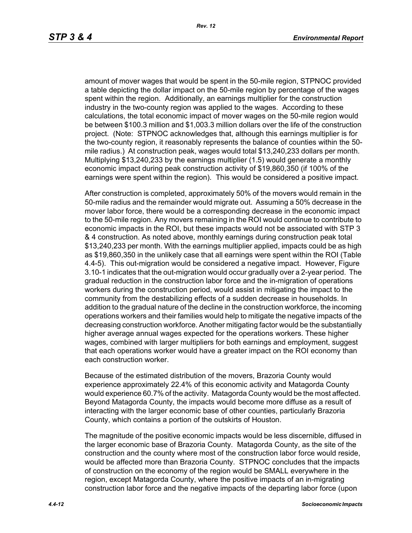amount of mover wages that would be spent in the 50-mile region, STPNOC provided a table depicting the dollar impact on the 50-mile region by percentage of the wages spent within the region. Additionally, an earnings multiplier for the construction industry in the two-county region was applied to the wages. According to these calculations, the total economic impact of mover wages on the 50-mile region would be between \$100.3 million and \$1,003.3 million dollars over the life of the construction project. (Note: STPNOC acknowledges that, although this earnings multiplier is for the two-county region, it reasonably represents the balance of counties within the 50 mile radius.) At construction peak, wages would total \$13,240,233 dollars per month. Multiplying \$13,240,233 by the earnings multiplier (1.5) would generate a monthly economic impact during peak construction activity of \$19,860,350 (if 100% of the earnings were spent within the region). This would be considered a positive impact.

After construction is completed, approximately 50% of the movers would remain in the 50-mile radius and the remainder would migrate out. Assuming a 50% decrease in the mover labor force, there would be a corresponding decrease in the economic impact to the 50-mile region. Any movers remaining in the ROI would continue to contribute to economic impacts in the ROI, but these impacts would not be associated with STP 3 & 4 construction. As noted above, monthly earnings during construction peak total \$13,240,233 per month. With the earnings multiplier applied, impacts could be as high as \$19,860,350 in the unlikely case that all earnings were spent within the ROI (Table 4.4-5). This out-migration would be considered a negative impact. However, Figure 3.10-1 indicates that the out-migration would occur gradually over a 2-year period. The gradual reduction in the construction labor force and the in-migration of operations workers during the construction period, would assist in mitigating the impact to the community from the destabilizing effects of a sudden decrease in households. In addition to the gradual nature of the decline in the construction workforce, the incoming operations workers and their families would help to mitigate the negative impacts of the decreasing construction workforce. Another mitigating factor would be the substantially higher average annual wages expected for the operations workers. These higher wages, combined with larger multipliers for both earnings and employment, suggest that each operations worker would have a greater impact on the ROI economy than each construction worker.

Because of the estimated distribution of the movers, Brazoria County would experience approximately 22.4% of this economic activity and Matagorda County would experience 60.7% of the activity. Matagorda County would be the most affected. Beyond Matagorda County, the impacts would become more diffuse as a result of interacting with the larger economic base of other counties, particularly Brazoria County, which contains a portion of the outskirts of Houston.

The magnitude of the positive economic impacts would be less discernible, diffused in the larger economic base of Brazoria County. Matagorda County, as the site of the construction and the county where most of the construction labor force would reside, would be affected more than Brazoria County. STPNOC concludes that the impacts of construction on the economy of the region would be SMALL everywhere in the region, except Matagorda County, where the positive impacts of an in-migrating construction labor force and the negative impacts of the departing labor force (upon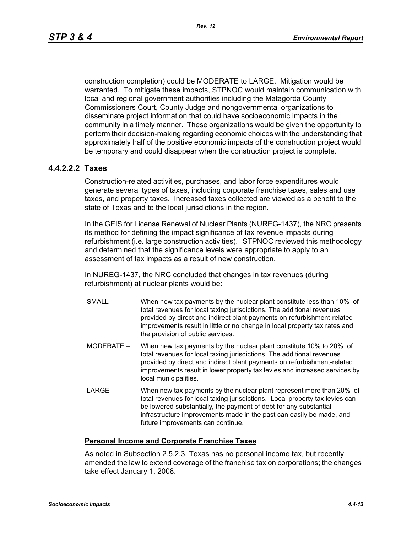construction completion) could be MODERATE to LARGE. Mitigation would be warranted. To mitigate these impacts, STPNOC would maintain communication with local and regional government authorities including the Matagorda County Commissioners Court, County Judge and nongovernmental organizations to disseminate project information that could have socioeconomic impacts in the community in a timely manner. These organizations would be given the opportunity to perform their decision-making regarding economic choices with the understanding that approximately half of the positive economic impacts of the construction project would be temporary and could disappear when the construction project is complete.

## **4.4.2.2.2 Taxes**

Construction-related activities, purchases, and labor force expenditures would generate several types of taxes, including corporate franchise taxes, sales and use taxes, and property taxes. Increased taxes collected are viewed as a benefit to the state of Texas and to the local jurisdictions in the region.

In the GEIS for License Renewal of Nuclear Plants (NUREG-1437), the NRC presents its method for defining the impact significance of tax revenue impacts during refurbishment (i.e. large construction activities). STPNOC reviewed this methodology and determined that the significance levels were appropriate to apply to an assessment of tax impacts as a result of new construction.

In NUREG-1437, the NRC concluded that changes in tax revenues (during refurbishment) at nuclear plants would be:

- SMALL When new tax payments by the nuclear plant constitute less than 10% of total revenues for local taxing jurisdictions. The additional revenues provided by direct and indirect plant payments on refurbishment-related improvements result in little or no change in local property tax rates and the provision of public services.
- MODERATE When new tax payments by the nuclear plant constitute 10% to 20% of total revenues for local taxing jurisdictions. The additional revenues provided by direct and indirect plant payments on refurbishment-related improvements result in lower property tax levies and increased services by local municipalities.
- LARGE When new tax payments by the nuclear plant represent more than 20% of total revenues for local taxing jurisdictions. Local property tax levies can be lowered substantially, the payment of debt for any substantial infrastructure improvements made in the past can easily be made, and future improvements can continue.

#### **Personal Income and Corporate Franchise Taxes**

As noted in Subsection 2.5.2.3, Texas has no personal income tax, but recently amended the law to extend coverage of the franchise tax on corporations; the changes take effect January 1, 2008.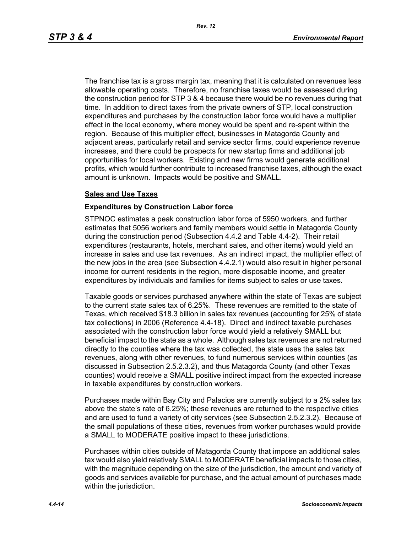The franchise tax is a gross margin tax, meaning that it is calculated on revenues less allowable operating costs. Therefore, no franchise taxes would be assessed during the construction period for STP 3 & 4 because there would be no revenues during that time. In addition to direct taxes from the private owners of STP, local construction expenditures and purchases by the construction labor force would have a multiplier effect in the local economy, where money would be spent and re-spent within the region. Because of this multiplier effect, businesses in Matagorda County and adjacent areas, particularly retail and service sector firms, could experience revenue increases, and there could be prospects for new startup firms and additional job opportunities for local workers. Existing and new firms would generate additional profits, which would further contribute to increased franchise taxes, although the exact amount is unknown. Impacts would be positive and SMALL.

#### **Sales and Use Taxes**

#### **Expenditures by Construction Labor force**

STPNOC estimates a peak construction labor force of 5950 workers, and further estimates that 5056 workers and family members would settle in Matagorda County during the construction period (Subsection 4.4.2 and Table 4.4-2). Their retail expenditures (restaurants, hotels, merchant sales, and other items) would yield an increase in sales and use tax revenues. As an indirect impact, the multiplier effect of the new jobs in the area (see Subsection 4.4.2.1) would also result in higher personal income for current residents in the region, more disposable income, and greater expenditures by individuals and families for items subject to sales or use taxes.

Taxable goods or services purchased anywhere within the state of Texas are subject to the current state sales tax of 6.25%. These revenues are remitted to the state of Texas, which received \$18.3 billion in sales tax revenues (accounting for 25% of state tax collections) in 2006 (Reference 4.4-18). Direct and indirect taxable purchases associated with the construction labor force would yield a relatively SMALL but beneficial impact to the state as a whole. Although sales tax revenues are not returned directly to the counties where the tax was collected, the state uses the sales tax revenues, along with other revenues, to fund numerous services within counties (as discussed in Subsection 2.5.2.3.2), and thus Matagorda County (and other Texas counties) would receive a SMALL positive indirect impact from the expected increase in taxable expenditures by construction workers.

Purchases made within Bay City and Palacios are currently subject to a 2% sales tax above the state's rate of 6.25%; these revenues are returned to the respective cities and are used to fund a variety of city services (see Subsection 2.5.2.3.2). Because of the small populations of these cities, revenues from worker purchases would provide a SMALL to MODERATE positive impact to these jurisdictions.

Purchases within cities outside of Matagorda County that impose an additional sales tax would also yield relatively SMALL to MODERATE beneficial impacts to those cities, with the magnitude depending on the size of the jurisdiction, the amount and variety of goods and services available for purchase, and the actual amount of purchases made within the jurisdiction.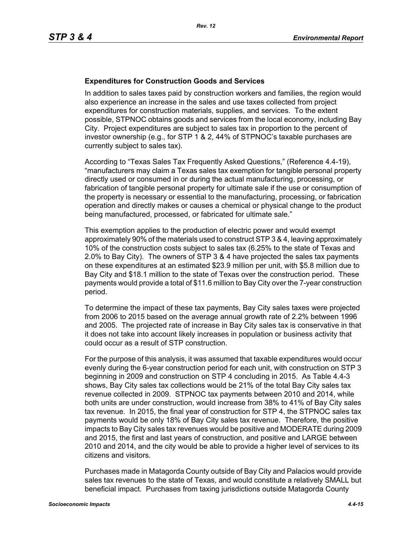#### **Expenditures for Construction Goods and Services**

In addition to sales taxes paid by construction workers and families, the region would also experience an increase in the sales and use taxes collected from project expenditures for construction materials, supplies, and services. To the extent possible, STPNOC obtains goods and services from the local economy, including Bay City. Project expenditures are subject to sales tax in proportion to the percent of investor ownership (e.g., for STP 1 & 2, 44% of STPNOC's taxable purchases are currently subject to sales tax).

According to "Texas Sales Tax Frequently Asked Questions," (Reference 4.4-19), "manufacturers may claim a Texas sales tax exemption for tangible personal property directly used or consumed in or during the actual manufacturing, processing, or fabrication of tangible personal property for ultimate sale if the use or consumption of the property is necessary or essential to the manufacturing, processing, or fabrication operation and directly makes or causes a chemical or physical change to the product being manufactured, processed, or fabricated for ultimate sale."

This exemption applies to the production of electric power and would exempt approximately 90% of the materials used to construct STP 3 & 4, leaving approximately 10% of the construction costs subject to sales tax (6.25% to the state of Texas and 2.0% to Bay City). The owners of STP 3 & 4 have projected the sales tax payments on these expenditures at an estimated \$23.9 million per unit, with \$5.8 million due to Bay City and \$18.1 million to the state of Texas over the construction period. These payments would provide a total of \$11.6 million to Bay City over the 7-year construction period.

To determine the impact of these tax payments, Bay City sales taxes were projected from 2006 to 2015 based on the average annual growth rate of 2.2% between 1996 and 2005. The projected rate of increase in Bay City sales tax is conservative in that it does not take into account likely increases in population or business activity that could occur as a result of STP construction.

For the purpose of this analysis, it was assumed that taxable expenditures would occur evenly during the 6-year construction period for each unit, with construction on STP 3 beginning in 2009 and construction on STP 4 concluding in 2015. As Table 4.4-3 shows, Bay City sales tax collections would be 21% of the total Bay City sales tax revenue collected in 2009. STPNOC tax payments between 2010 and 2014, while both units are under construction, would increase from 38% to 41% of Bay City sales tax revenue. In 2015, the final year of construction for STP 4, the STPNOC sales tax payments would be only 18% of Bay City sales tax revenue. Therefore, the positive impacts to Bay City sales tax revenues would be positive and MODERATE during 2009 and 2015, the first and last years of construction, and positive and LARGE between 2010 and 2014, and the city would be able to provide a higher level of services to its citizens and visitors.

Purchases made in Matagorda County outside of Bay City and Palacios would provide sales tax revenues to the state of Texas, and would constitute a relatively SMALL but beneficial impact. Purchases from taxing jurisdictions outside Matagorda County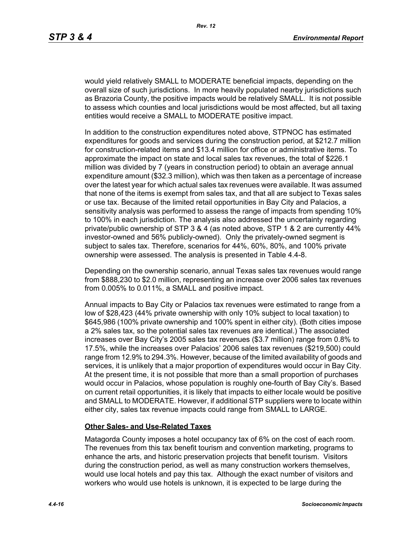would yield relatively SMALL to MODERATE beneficial impacts, depending on the overall size of such jurisdictions. In more heavily populated nearby jurisdictions such as Brazoria County, the positive impacts would be relatively SMALL. It is not possible to assess which counties and local jurisdictions would be most affected, but all taxing entities would receive a SMALL to MODERATE positive impact.

In addition to the construction expenditures noted above, STPNOC has estimated expenditures for goods and services during the construction period, at \$212.7 million for construction-related items and \$13.4 million for office or administrative items. To approximate the impact on state and local sales tax revenues, the total of \$226.1 million was divided by 7 (years in construction period) to obtain an average annual expenditure amount (\$32.3 million), which was then taken as a percentage of increase over the latest year for which actual sales tax revenues were available. It was assumed that none of the items is exempt from sales tax, and that all are subject to Texas sales or use tax. Because of the limited retail opportunities in Bay City and Palacios, a sensitivity analysis was performed to assess the range of impacts from spending 10% to 100% in each jurisdiction. The analysis also addressed the uncertainty regarding private/public ownership of STP 3 & 4 (as noted above, STP 1 & 2 are currently 44% investor-owned and 56% publicly-owned). Only the privately-owned segment is subject to sales tax. Therefore, scenarios for 44%, 60%, 80%, and 100% private ownership were assessed. The analysis is presented in Table 4.4-8.

Depending on the ownership scenario, annual Texas sales tax revenues would range from \$888,230 to \$2.0 million, representing an increase over 2006 sales tax revenues from 0.005% to 0.011%, a SMALL and positive impact.

Annual impacts to Bay City or Palacios tax revenues were estimated to range from a low of \$28,423 (44% private ownership with only 10% subject to local taxation) to \$645,986 (100% private ownership and 100% spent in either city). (Both cities impose a 2% sales tax, so the potential sales tax revenues are identical.) The associated increases over Bay City's 2005 sales tax revenues (\$3.7 million) range from 0.8% to 17.5%, while the increases over Palacios' 2006 sales tax revenues (\$219,500) could range from 12.9% to 294.3%. However, because of the limited availability of goods and services, it is unlikely that a major proportion of expenditures would occur in Bay City. At the present time, it is not possible that more than a small proportion of purchases would occur in Palacios, whose population is roughly one-fourth of Bay City's. Based on current retail opportunities, it is likely that impacts to either locale would be positive and SMALL to MODERATE. However, if additional STP suppliers were to locate within either city, sales tax revenue impacts could range from SMALL to LARGE.

#### **Other Sales- and Use-Related Taxes**

Matagorda County imposes a hotel occupancy tax of 6% on the cost of each room. The revenues from this tax benefit tourism and convention marketing, programs to enhance the arts, and historic preservation projects that benefit tourism. Visitors during the construction period, as well as many construction workers themselves, would use local hotels and pay this tax. Although the exact number of visitors and workers who would use hotels is unknown, it is expected to be large during the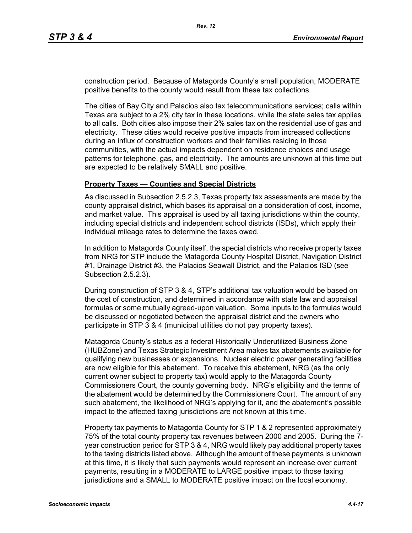construction period. Because of Matagorda County's small population, MODERATE positive benefits to the county would result from these tax collections.

The cities of Bay City and Palacios also tax telecommunications services; calls within Texas are subject to a 2% city tax in these locations, while the state sales tax applies to all calls. Both cities also impose their 2% sales tax on the residential use of gas and electricity. These cities would receive positive impacts from increased collections during an influx of construction workers and their families residing in those communities, with the actual impacts dependent on residence choices and usage patterns for telephone, gas, and electricity. The amounts are unknown at this time but are expected to be relatively SMALL and positive.

#### **Property Taxes — Counties and Special Districts**

As discussed in Subsection 2.5.2.3, Texas property tax assessments are made by the county appraisal district, which bases its appraisal on a consideration of cost, income, and market value. This appraisal is used by all taxing jurisdictions within the county, including special districts and independent school districts (ISDs), which apply their individual mileage rates to determine the taxes owed.

In addition to Matagorda County itself, the special districts who receive property taxes from NRG for STP include the Matagorda County Hospital District, Navigation District #1, Drainage District #3, the Palacios Seawall District, and the Palacios ISD (see Subsection 2.5.2.3).

During construction of STP 3 & 4, STP's additional tax valuation would be based on the cost of construction, and determined in accordance with state law and appraisal formulas or some mutually agreed-upon valuation. Some inputs to the formulas would be discussed or negotiated between the appraisal district and the owners who participate in STP 3 & 4 (municipal utilities do not pay property taxes).

Matagorda County's status as a federal Historically Underutilized Business Zone (HUBZone) and Texas Strategic Investment Area makes tax abatements available for qualifying new businesses or expansions. Nuclear electric power generating facilities are now eligible for this abatement. To receive this abatement, NRG (as the only current owner subject to property tax) would apply to the Matagorda County Commissioners Court, the county governing body. NRG's eligibility and the terms of the abatement would be determined by the Commissioners Court. The amount of any such abatement, the likelihood of NRG's applying for it, and the abatement's possible impact to the affected taxing jurisdictions are not known at this time.

Property tax payments to Matagorda County for STP 1 & 2 represented approximately 75% of the total county property tax revenues between 2000 and 2005. During the 7 year construction period for STP 3 & 4, NRG would likely pay additional property taxes to the taxing districts listed above. Although the amount of these payments is unknown at this time, it is likely that such payments would represent an increase over current payments, resulting in a MODERATE to LARGE positive impact to those taxing jurisdictions and a SMALL to MODERATE positive impact on the local economy.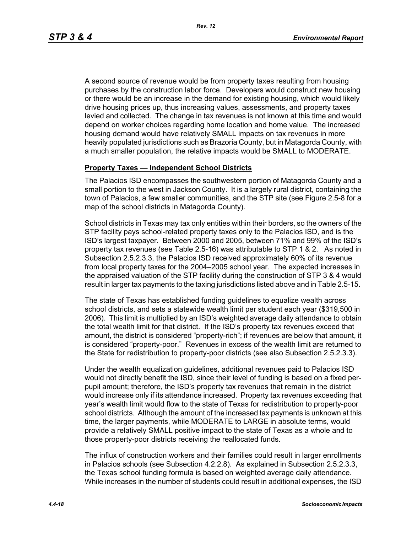A second source of revenue would be from property taxes resulting from housing purchases by the construction labor force. Developers would construct new housing or there would be an increase in the demand for existing housing, which would likely drive housing prices up, thus increasing values, assessments, and property taxes levied and collected. The change in tax revenues is not known at this time and would depend on worker choices regarding home location and home value. The increased housing demand would have relatively SMALL impacts on tax revenues in more heavily populated jurisdictions such as Brazoria County, but in Matagorda County, with a much smaller population, the relative impacts would be SMALL to MODERATE.

#### **Property Taxes — Independent School Districts**

The Palacios ISD encompasses the southwestern portion of Matagorda County and a small portion to the west in Jackson County. It is a largely rural district, containing the town of Palacios, a few smaller communities, and the STP site (see Figure 2.5-8 for a map of the school districts in Matagorda County).

School districts in Texas may tax only entities within their borders, so the owners of the STP facility pays school-related property taxes only to the Palacios ISD, and is the ISD's largest taxpayer. Between 2000 and 2005, between 71% and 99% of the ISD's property tax revenues (see Table 2.5-16) was attributable to STP 1 & 2. As noted in Subsection 2.5.2.3.3, the Palacios ISD received approximately 60% of its revenue from local property taxes for the 2004–2005 school year. The expected increases in the appraised valuation of the STP facility during the construction of STP 3 & 4 would result in larger tax payments to the taxing jurisdictions listed above and in Table 2.5-15.

The state of Texas has established funding guidelines to equalize wealth across school districts, and sets a statewide wealth limit per student each year (\$319,500 in 2006). This limit is multiplied by an ISD's weighted average daily attendance to obtain the total wealth limit for that district. If the ISD's property tax revenues exceed that amount, the district is considered "property-rich"; if revenues are below that amount, it is considered "property-poor." Revenues in excess of the wealth limit are returned to the State for redistribution to property-poor districts (see also Subsection 2.5.2.3.3).

Under the wealth equalization guidelines, additional revenues paid to Palacios ISD would not directly benefit the ISD, since their level of funding is based on a fixed perpupil amount; therefore, the ISD's property tax revenues that remain in the district would increase only if its attendance increased. Property tax revenues exceeding that year's wealth limit would flow to the state of Texas for redistribution to property-poor school districts. Although the amount of the increased tax payments is unknown at this time, the larger payments, while MODERATE to LARGE in absolute terms, would provide a relatively SMALL positive impact to the state of Texas as a whole and to those property-poor districts receiving the reallocated funds.

The influx of construction workers and their families could result in larger enrollments in Palacios schools (see Subsection 4.2.2.8). As explained in Subsection 2.5.2.3.3, the Texas school funding formula is based on weighted average daily attendance. While increases in the number of students could result in additional expenses, the ISD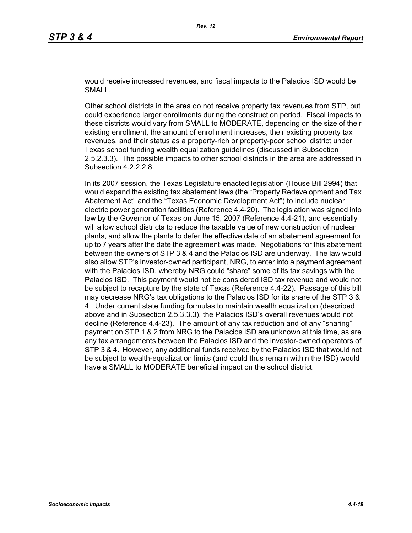would receive increased revenues, and fiscal impacts to the Palacios ISD would be SMALL.

Other school districts in the area do not receive property tax revenues from STP, but could experience larger enrollments during the construction period. Fiscal impacts to these districts would vary from SMALL to MODERATE, depending on the size of their existing enrollment, the amount of enrollment increases, their existing property tax revenues, and their status as a property-rich or property-poor school district under Texas school funding wealth equalization guidelines (discussed in Subsection 2.5.2.3.3). The possible impacts to other school districts in the area are addressed in Subsection 4.2.2.2.8.

In its 2007 session, the Texas Legislature enacted legislation (House Bill 2994) that would expand the existing tax abatement laws (the "Property Redevelopment and Tax Abatement Act" and the "Texas Economic Development Act") to include nuclear electric power generation facilities (Reference 4.4-20). The legislation was signed into law by the Governor of Texas on June 15, 2007 (Reference 4.4-21), and essentially will allow school districts to reduce the taxable value of new construction of nuclear plants, and allow the plants to defer the effective date of an abatement agreement for up to 7 years after the date the agreement was made. Negotiations for this abatement between the owners of STP 3 & 4 and the Palacios ISD are underway. The law would also allow STP's investor-owned participant, NRG, to enter into a payment agreement with the Palacios ISD, whereby NRG could "share" some of its tax savings with the Palacios ISD. This payment would not be considered ISD tax revenue and would not be subject to recapture by the state of Texas (Reference 4.4-22). Passage of this bill may decrease NRG's tax obligations to the Palacios ISD for its share of the STP 3 & 4. Under current state funding formulas to maintain wealth equalization (described above and in Subsection 2.5.3.3.3), the Palacios ISD's overall revenues would not decline (Reference 4.4-23). The amount of any tax reduction and of any "sharing" payment on STP 1 & 2 from NRG to the Palacios ISD are unknown at this time, as are any tax arrangements between the Palacios ISD and the investor-owned operators of STP 3 & 4. However, any additional funds received by the Palacios ISD that would not be subject to wealth-equalization limits (and could thus remain within the ISD) would have a SMALL to MODERATE beneficial impact on the school district.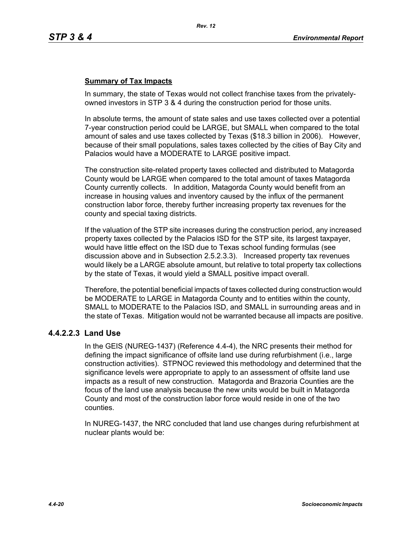## **Summary of Tax Impacts**

In summary, the state of Texas would not collect franchise taxes from the privatelyowned investors in STP 3 & 4 during the construction period for those units.

In absolute terms, the amount of state sales and use taxes collected over a potential 7-year construction period could be LARGE, but SMALL when compared to the total amount of sales and use taxes collected by Texas (\$18.3 billion in 2006). However, because of their small populations, sales taxes collected by the cities of Bay City and Palacios would have a MODERATE to LARGE positive impact.

The construction site-related property taxes collected and distributed to Matagorda County would be LARGE when compared to the total amount of taxes Matagorda County currently collects. In addition, Matagorda County would benefit from an increase in housing values and inventory caused by the influx of the permanent construction labor force, thereby further increasing property tax revenues for the county and special taxing districts.

If the valuation of the STP site increases during the construction period, any increased property taxes collected by the Palacios ISD for the STP site, its largest taxpayer, would have little effect on the ISD due to Texas school funding formulas (see discussion above and in Subsection 2.5.2.3.3). Increased property tax revenues would likely be a LARGE absolute amount, but relative to total property tax collections by the state of Texas, it would yield a SMALL positive impact overall.

Therefore, the potential beneficial impacts of taxes collected during construction would be MODERATE to LARGE in Matagorda County and to entities within the county, SMALL to MODERATE to the Palacios ISD, and SMALL in surrounding areas and in the state of Texas. Mitigation would not be warranted because all impacts are positive.

## **4.4.2.2.3 Land Use**

In the GEIS (NUREG-1437) (Reference 4.4-4), the NRC presents their method for defining the impact significance of offsite land use during refurbishment (i.e., large construction activities). STPNOC reviewed this methodology and determined that the significance levels were appropriate to apply to an assessment of offsite land use impacts as a result of new construction. Matagorda and Brazoria Counties are the focus of the land use analysis because the new units would be built in Matagorda County and most of the construction labor force would reside in one of the two counties.

In NUREG-1437, the NRC concluded that land use changes during refurbishment at nuclear plants would be: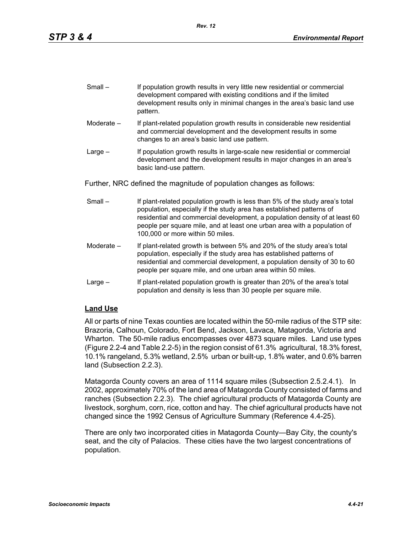| $Small -$ | If population growth results in very little new residential or commercial |
|-----------|---------------------------------------------------------------------------|
|           | development compared with existing conditions and if the limited          |
|           | development results only in minimal changes in the area's basic land use  |
|           | pattern.                                                                  |

- Moderate If plant-related population growth results in considerable new residential and commercial development and the development results in some changes to an area's basic land use pattern.
- Large If population growth results in large-scale new residential or commercial development and the development results in major changes in an area's basic land-use pattern.

Further, NRC defined the magnitude of population changes as follows:

- Small If plant-related population growth is less than 5% of the study area's total population, especially if the study area has established patterns of residential and commercial development, a population density of at least 60 people per square mile, and at least one urban area with a population of 100,000 or more within 50 miles.
- Moderate If plant-related growth is between 5% and 20% of the study area's total population, especially if the study area has established patterns of residential and commercial development, a population density of 30 to 60 people per square mile, and one urban area within 50 miles.
- Large If plant-related population growth is greater than 20% of the area's total population and density is less than 30 people per square mile.

## **Land Use**

All or parts of nine Texas counties are located within the 50-mile radius of the STP site: Brazoria, Calhoun, Colorado, Fort Bend, Jackson, Lavaca, Matagorda, Victoria and Wharton. The 50-mile radius encompasses over 4873 square miles. Land use types (Figure 2.2-4 and Table 2.2-5) in the region consist of 61.3% agricultural, 18.3% forest, 10.1% rangeland, 5.3% wetland, 2.5% urban or built-up, 1.8% water, and 0.6% barren land (Subsection 2.2.3).

Matagorda County covers an area of 1114 square miles (Subsection 2.5.2.4.1). In 2002, approximately 70% of the land area of Matagorda County consisted of farms and ranches (Subsection 2.2.3). The chief agricultural products of Matagorda County are livestock, sorghum, corn, rice, cotton and hay. The chief agricultural products have not changed since the 1992 Census of Agriculture Summary (Reference 4.4-25).

There are only two incorporated cities in Matagorda County—Bay City, the county's seat, and the city of Palacios. These cities have the two largest concentrations of population.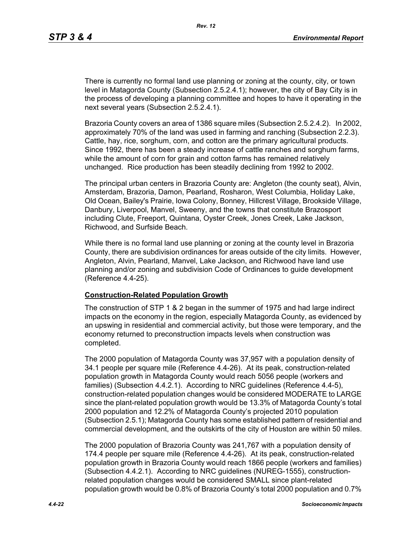There is currently no formal land use planning or zoning at the county, city, or town level in Matagorda County (Subsection 2.5.2.4.1); however, the city of Bay City is in the process of developing a planning committee and hopes to have it operating in the next several years (Subsection 2.5.2.4.1).

Brazoria County covers an area of 1386 square miles (Subsection 2.5.2.4.2). In 2002, approximately 70% of the land was used in farming and ranching (Subsection 2.2.3). Cattle, hay, rice, sorghum, corn, and cotton are the primary agricultural products. Since 1992, there has been a steady increase of cattle ranches and sorghum farms, while the amount of corn for grain and cotton farms has remained relatively unchanged. Rice production has been steadily declining from 1992 to 2002.

The principal urban centers in Brazoria County are: Angleton (the county seat), Alvin, Amsterdam, Brazoria, Damon, Pearland, Rosharon, West Columbia, Holiday Lake, Old Ocean, Bailey's Prairie, Iowa Colony, Bonney, Hillcrest Village, Brookside Village, Danbury, Liverpool, Manvel, Sweeny, and the towns that constitute Brazosport including Clute, Freeport, Quintana, Oyster Creek, Jones Creek, Lake Jackson, Richwood, and Surfside Beach.

While there is no formal land use planning or zoning at the county level in Brazoria County, there are subdivision ordinances for areas outside of the city limits. However, Angleton, Alvin, Pearland, Manvel, Lake Jackson, and Richwood have land use planning and/or zoning and subdivision Code of Ordinances to guide development (Reference 4.4-25).

#### **Construction-Related Population Growth**

The construction of STP 1 & 2 began in the summer of 1975 and had large indirect impacts on the economy in the region, especially Matagorda County, as evidenced by an upswing in residential and commercial activity, but those were temporary, and the economy returned to preconstruction impacts levels when construction was completed.

The 2000 population of Matagorda County was 37,957 with a population density of 34.1 people per square mile (Reference 4.4-26). At its peak, construction-related population growth in Matagorda County would reach 5056 people (workers and families) (Subsection 4.4.2.1). According to NRC guidelines (Reference 4.4-5), construction-related population changes would be considered MODERATE to LARGE since the plant-related population growth would be 13.3% of Matagorda County's total 2000 population and 12.2% of Matagorda County's projected 2010 population (Subsection 2.5.1); Matagorda County has some established pattern of residential and commercial development, and the outskirts of the city of Houston are within 50 miles.

The 2000 population of Brazoria County was 241,767 with a population density of 174.4 people per square mile (Reference 4.4-26). At its peak, construction-related population growth in Brazoria County would reach 1866 people (workers and families) (Subsection 4.4.2.1). According to NRC guidelines (NUREG-1555), constructionrelated population changes would be considered SMALL since plant-related population growth would be 0.8% of Brazoria County's total 2000 population and 0.7%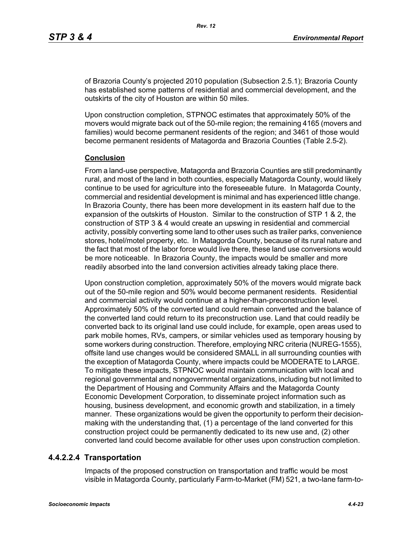of Brazoria County's projected 2010 population (Subsection 2.5.1); Brazoria County has established some patterns of residential and commercial development, and the outskirts of the city of Houston are within 50 miles.

Upon construction completion, STPNOC estimates that approximately 50% of the movers would migrate back out of the 50-mile region; the remaining 4165 (movers and families) would become permanent residents of the region; and 3461 of those would become permanent residents of Matagorda and Brazoria Counties (Table 2.5-2).

#### **Conclusion**

From a land-use perspective, Matagorda and Brazoria Counties are still predominantly rural, and most of the land in both counties, especially Matagorda County, would likely continue to be used for agriculture into the foreseeable future. In Matagorda County, commercial and residential development is minimal and has experienced little change. In Brazoria County, there has been more development in its eastern half due to the expansion of the outskirts of Houston. Similar to the construction of STP 1 & 2, the construction of STP 3 & 4 would create an upswing in residential and commercial activity, possibly converting some land to other uses such as trailer parks, convenience stores, hotel/motel property, etc. In Matagorda County, because of its rural nature and the fact that most of the labor force would live there, these land use conversions would be more noticeable. In Brazoria County, the impacts would be smaller and more readily absorbed into the land conversion activities already taking place there.

Upon construction completion, approximately 50% of the movers would migrate back out of the 50-mile region and 50% would become permanent residents. Residential and commercial activity would continue at a higher-than-preconstruction level. Approximately 50% of the converted land could remain converted and the balance of the converted land could return to its preconstruction use. Land that could readily be converted back to its original land use could include, for example, open areas used to park mobile homes, RVs, campers, or similar vehicles used as temporary housing by some workers during construction. Therefore, employing NRC criteria (NUREG-1555), offsite land use changes would be considered SMALL in all surrounding counties with the exception of Matagorda County, where impacts could be MODERATE to LARGE. To mitigate these impacts, STPNOC would maintain communication with local and regional governmental and nongovernmental organizations, including but not limited to the Department of Housing and Community Affairs and the Matagorda County Economic Development Corporation, to disseminate project information such as housing, business development, and economic growth and stabilization, in a timely manner. These organizations would be given the opportunity to perform their decisionmaking with the understanding that, (1) a percentage of the land converted for this construction project could be permanently dedicated to its new use and, (2) other converted land could become available for other uses upon construction completion.

## **4.4.2.2.4 Transportation**

Impacts of the proposed construction on transportation and traffic would be most visible in Matagorda County, particularly Farm-to-Market (FM) 521, a two-lane farm-to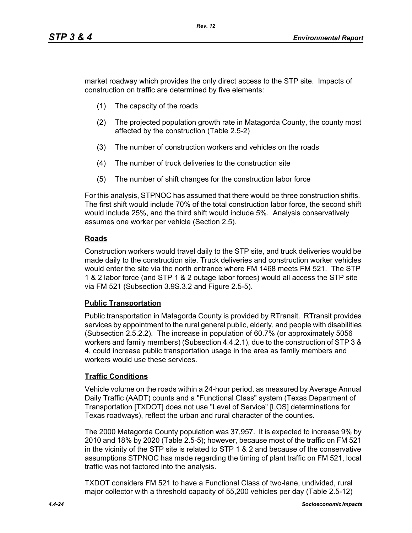market roadway which provides the only direct access to the STP site. Impacts of construction on traffic are determined by five elements:

- (1) The capacity of the roads
- (2) The projected population growth rate in Matagorda County, the county most affected by the construction (Table 2.5-2)
- (3) The number of construction workers and vehicles on the roads
- (4) The number of truck deliveries to the construction site
- (5) The number of shift changes for the construction labor force

For this analysis, STPNOC has assumed that there would be three construction shifts. The first shift would include 70% of the total construction labor force, the second shift would include 25%, and the third shift would include 5%. Analysis conservatively assumes one worker per vehicle (Section 2.5).

## **Roads**

Construction workers would travel daily to the STP site, and truck deliveries would be made daily to the construction site. Truck deliveries and construction worker vehicles would enter the site via the north entrance where FM 1468 meets FM 521. The STP 1 & 2 labor force (and STP 1 & 2 outage labor forces) would all access the STP site via FM 521 (Subsection 3.9S.3.2 and Figure 2.5-5).

## **Public Transportation**

Public transportation in Matagorda County is provided by RTransit. RTransit provides services by appointment to the rural general public, elderly, and people with disabilities (Subsection 2.5.2.2). The increase in population of 60.7% (or approximately 5056 workers and family members) (Subsection 4.4.2.1), due to the construction of STP 3 & 4, could increase public transportation usage in the area as family members and workers would use these services.

## **Traffic Conditions**

Vehicle volume on the roads within a 24-hour period, as measured by Average Annual Daily Traffic (AADT) counts and a "Functional Class" system (Texas Department of Transportation [TXDOT] does not use "Level of Service" [LOS] determinations for Texas roadways), reflect the urban and rural character of the counties.

The 2000 Matagorda County population was 37,957. It is expected to increase 9% by 2010 and 18% by 2020 (Table 2.5-5); however, because most of the traffic on FM 521 in the vicinity of the STP site is related to STP 1 & 2 and because of the conservative assumptions STPNOC has made regarding the timing of plant traffic on FM 521, local traffic was not factored into the analysis.

TXDOT considers FM 521 to have a Functional Class of two-lane, undivided, rural major collector with a threshold capacity of 55,200 vehicles per day (Table 2.5-12)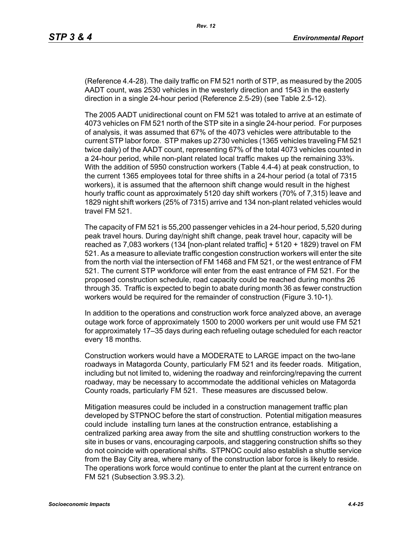(Reference 4.4-28). The daily traffic on FM 521 north of STP, as measured by the 2005 AADT count, was 2530 vehicles in the westerly direction and 1543 in the easterly direction in a single 24-hour period (Reference 2.5-29) (see Table 2.5-12).

The 2005 AADT unidirectional count on FM 521 was totaled to arrive at an estimate of 4073 vehicles on FM 521 north of the STP site in a single 24-hour period. For purposes of analysis, it was assumed that 67% of the 4073 vehicles were attributable to the current STP labor force. STP makes up 2730 vehicles (1365 vehicles traveling FM 521 twice daily) of the AADT count, representing 67% of the total 4073 vehicles counted in a 24-hour period, while non-plant related local traffic makes up the remaining 33%. With the addition of 5950 construction workers (Table 4.4-4) at peak construction, to the current 1365 employees total for three shifts in a 24-hour period (a total of 7315 workers), it is assumed that the afternoon shift change would result in the highest hourly traffic count as approximately 5120 day shift workers (70% of 7,315) leave and 1829 night shift workers (25% of 7315) arrive and 134 non-plant related vehicles would travel FM 521.

The capacity of FM 521 is 55,200 passenger vehicles in a 24-hour period, 5,520 during peak travel hours. During day/night shift change, peak travel hour, capacity will be reached as 7,083 workers (134 [non-plant related traffic] + 5120 + 1829) travel on FM 521. As a measure to alleviate traffic congestion construction workers will enter the site from the north vial the intersection of FM 1468 and FM 521, or the west entrance of FM 521. The current STP workforce will enter from the east entrance of FM 521. For the proposed construction schedule, road capacity could be reached during months 26 through 35. Traffic is expected to begin to abate during month 36 as fewer construction workers would be required for the remainder of construction (Figure 3.10-1).

In addition to the operations and construction work force analyzed above, an average outage work force of approximately 1500 to 2000 workers per unit would use FM 521 for approximately 17–35 days during each refueling outage scheduled for each reactor every 18 months.

Construction workers would have a MODERATE to LARGE impact on the two-lane roadways in Matagorda County, particularly FM 521 and its feeder roads. Mitigation, including but not limited to, widening the roadway and reinforcing/repaving the current roadway, may be necessary to accommodate the additional vehicles on Matagorda County roads, particularly FM 521. These measures are discussed below.

Mitigation measures could be included in a construction management traffic plan developed by STPNOC before the start of construction. Potential mitigation measures could include installing turn lanes at the construction entrance, establishing a centralized parking area away from the site and shuttling construction workers to the site in buses or vans, encouraging carpools, and staggering construction shifts so they do not coincide with operational shifts. STPNOC could also establish a shuttle service from the Bay City area, where many of the construction labor force is likely to reside. The operations work force would continue to enter the plant at the current entrance on FM 521 (Subsection 3.9S.3.2).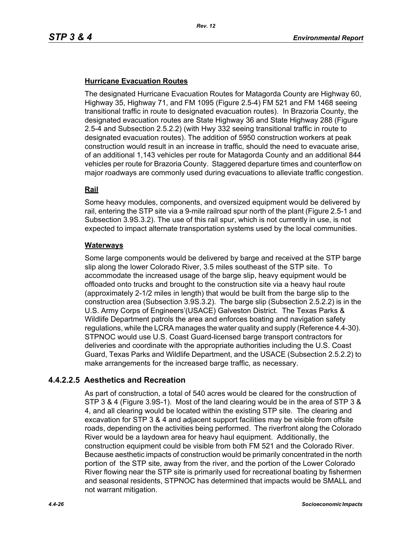## **Hurricane Evacuation Routes**

The designated Hurricane Evacuation Routes for Matagorda County are Highway 60, Highway 35, Highway 71, and FM 1095 (Figure 2.5-4) FM 521 and FM 1468 seeing transitional traffic in route to designated evacuation routes). In Brazoria County, the designated evacuation routes are State Highway 36 and State Highway 288 (Figure 2.5-4 and Subsection 2.5.2.2) (with Hwy 332 seeing transitional traffic in route to designated evacuation routes). The addition of 5950 construction workers at peak construction would result in an increase in traffic, should the need to evacuate arise, of an additional 1,143 vehicles per route for Matagorda County and an additional 844 vehicles per route for Brazoria County. Staggered departure times and counterflow on major roadways are commonly used during evacuations to alleviate traffic congestion.

## **Rail**

Some heavy modules, components, and oversized equipment would be delivered by rail, entering the STP site via a 9-mile railroad spur north of the plant (Figure 2.5-1 and Subsection 3.9S.3.2). The use of this rail spur, which is not currently in use, is not expected to impact alternate transportation systems used by the local communities.

#### **Waterways**

Some large components would be delivered by barge and received at the STP barge slip along the lower Colorado River, 3.5 miles southeast of the STP site. To accommodate the increased usage of the barge slip, heavy equipment would be offloaded onto trucks and brought to the construction site via a heavy haul route (approximately 2-1/2 miles in length) that would be built from the barge slip to the construction area (Subsection 3.9S.3.2). The barge slip (Subsection 2.5.2.2) is in the U.S. Army Corps of Engineers'(USACE) Galveston District. The Texas Parks & Wildlife Department patrols the area and enforces boating and navigation safety regulations, while the LCRA manages the water quality and supply (Reference 4.4-30). STPNOC would use U.S. Coast Guard-licensed barge transport contractors for deliveries and coordinate with the appropriate authorities including the U.S. Coast Guard, Texas Parks and Wildlife Department, and the USACE (Subsection 2.5.2.2) to make arrangements for the increased barge traffic, as necessary.

## **4.4.2.2.5 Aesthetics and Recreation**

As part of construction, a total of 540 acres would be cleared for the construction of STP 3 & 4 (Figure 3.9S-1). Most of the land clearing would be in the area of STP 3 & 4, and all clearing would be located within the existing STP site. The clearing and excavation for STP 3 & 4 and adjacent support facilities may be visible from offsite roads, depending on the activities being performed. The riverfront along the Colorado River would be a laydown area for heavy haul equipment. Additionally, the construction equipment could be visible from both FM 521 and the Colorado River. Because aesthetic impacts of construction would be primarily concentrated in the north portion of the STP site, away from the river, and the portion of the Lower Colorado River flowing near the STP site is primarily used for recreational boating by fishermen and seasonal residents, STPNOC has determined that impacts would be SMALL and not warrant mitigation.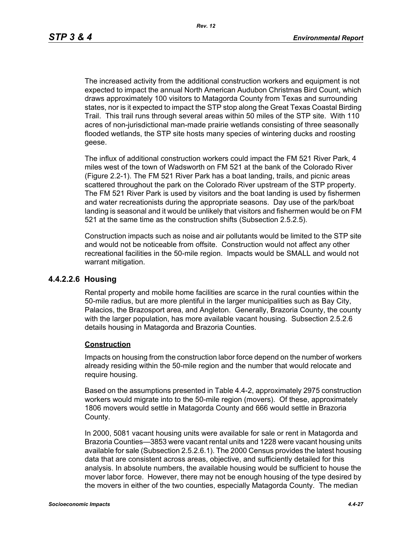The increased activity from the additional construction workers and equipment is not expected to impact the annual North American Audubon Christmas Bird Count, which draws approximately 100 visitors to Matagorda County from Texas and surrounding states, nor is it expected to impact the STP stop along the Great Texas Coastal Birding Trail. This trail runs through several areas within 50 miles of the STP site. With 110 acres of non-jurisdictional man-made prairie wetlands consisting of three seasonally flooded wetlands, the STP site hosts many species of wintering ducks and roosting geese.

The influx of additional construction workers could impact the FM 521 River Park, 4 miles west of the town of Wadsworth on FM 521 at the bank of the Colorado River (Figure 2.2-1). The FM 521 River Park has a boat landing, trails, and picnic areas scattered throughout the park on the Colorado River upstream of the STP property. The FM 521 River Park is used by visitors and the boat landing is used by fishermen and water recreationists during the appropriate seasons. Day use of the park/boat landing is seasonal and it would be unlikely that visitors and fishermen would be on FM 521 at the same time as the construction shifts (Subsection 2.5.2.5).

Construction impacts such as noise and air pollutants would be limited to the STP site and would not be noticeable from offsite. Construction would not affect any other recreational facilities in the 50-mile region. Impacts would be SMALL and would not warrant mitigation.

## **4.4.2.2.6 Housing**

Rental property and mobile home facilities are scarce in the rural counties within the 50-mile radius, but are more plentiful in the larger municipalities such as Bay City, Palacios, the Brazosport area, and Angleton. Generally, Brazoria County, the county with the larger population, has more available vacant housing. Subsection 2.5.2.6 details housing in Matagorda and Brazoria Counties.

#### **Construction**

Impacts on housing from the construction labor force depend on the number of workers already residing within the 50-mile region and the number that would relocate and require housing.

Based on the assumptions presented in Table 4.4-2, approximately 2975 construction workers would migrate into to the 50-mile region (movers). Of these, approximately 1806 movers would settle in Matagorda County and 666 would settle in Brazoria County.

In 2000, 5081 vacant housing units were available for sale or rent in Matagorda and Brazoria Counties—3853 were vacant rental units and 1228 were vacant housing units available for sale (Subsection 2.5.2.6.1). The 2000 Census provides the latest housing data that are consistent across areas, objective, and sufficiently detailed for this analysis. In absolute numbers, the available housing would be sufficient to house the mover labor force. However, there may not be enough housing of the type desired by the movers in either of the two counties, especially Matagorda County. The median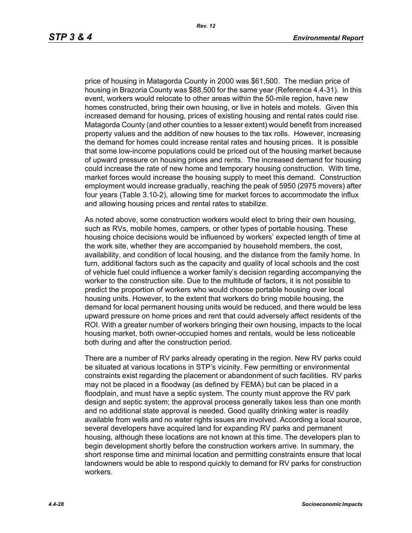price of housing in Matagorda County in 2000 was \$61,500. The median price of housing in Brazoria County was \$88,500 for the same year (Reference 4.4-31). In this event, workers would relocate to other areas within the 50-mile region, have new homes constructed, bring their own housing, or live in hotels and motels. Given this increased demand for housing, prices of existing housing and rental rates could rise. Matagorda County (and other counties to a lesser extent) would benefit from increased property values and the addition of new houses to the tax rolls. However, increasing the demand for homes could increase rental rates and housing prices. It is possible that some low-income populations could be priced out of the housing market because of upward pressure on housing prices and rents. The increased demand for housing could increase the rate of new home and temporary housing construction. With time, market forces would increase the housing supply to meet this demand. Construction employment would increase gradually, reaching the peak of 5950 (2975 movers) after four years (Table 3.10-2), allowing time for market forces to accommodate the influx and allowing housing prices and rental rates to stabilize.

As noted above, some construction workers would elect to bring their own housing, such as RVs, mobile homes, campers, or other types of portable housing. These housing choice decisions would be influenced by workers' expected length of time at the work site, whether they are accompanied by household members, the cost, availability, and condition of local housing, and the distance from the family home. In turn, additional factors such as the capacity and quality of local schools and the cost of vehicle fuel could influence a worker family's decision regarding accompanying the worker to the construction site. Due to the multitude of factors, it is not possible to predict the proportion of workers who would choose portable housing over local housing units. However, to the extent that workers do bring mobile housing, the demand for local permanent housing units would be reduced, and there would be less upward pressure on home prices and rent that could adversely affect residents of the ROI. With a greater number of workers bringing their own housing, impacts to the local housing market, both owner-occupied homes and rentals, would be less noticeable both during and after the construction period.

There are a number of RV parks already operating in the region. New RV parks could be situated at various locations in STP's vicinity. Few permitting or environmental constraints exist regarding the placement or abandonment of such facilities. RV parks may not be placed in a floodway (as defined by FEMA) but can be placed in a floodplain, and must have a septic system. The county must approve the RV park design and septic system; the approval process generally takes less than one month and no additional state approval is needed. Good quality drinking water is readily available from wells and no water rights issues are involved. According a local source, several developers have acquired land for expanding RV parks and permanent housing, although these locations are not known at this time. The developers plan to begin development shortly before the construction workers arrive. In summary, the short response time and minimal location and permitting constraints ensure that local landowners would be able to respond quickly to demand for RV parks for construction workers.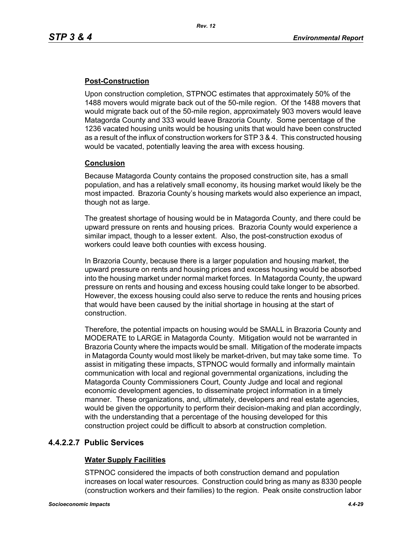## **Post-Construction**

Upon construction completion, STPNOC estimates that approximately 50% of the 1488 movers would migrate back out of the 50-mile region. Of the 1488 movers that would migrate back out of the 50-mile region, approximately 903 movers would leave Matagorda County and 333 would leave Brazoria County. Some percentage of the 1236 vacated housing units would be housing units that would have been constructed as a result of the influx of construction workers for STP 3 & 4. This constructed housing would be vacated, potentially leaving the area with excess housing.

## **Conclusion**

Because Matagorda County contains the proposed construction site, has a small population, and has a relatively small economy, its housing market would likely be the most impacted. Brazoria County's housing markets would also experience an impact, though not as large.

The greatest shortage of housing would be in Matagorda County, and there could be upward pressure on rents and housing prices. Brazoria County would experience a similar impact, though to a lesser extent. Also, the post-construction exodus of workers could leave both counties with excess housing.

In Brazoria County, because there is a larger population and housing market, the upward pressure on rents and housing prices and excess housing would be absorbed into the housing market under normal market forces. In Matagorda County, the upward pressure on rents and housing and excess housing could take longer to be absorbed. However, the excess housing could also serve to reduce the rents and housing prices that would have been caused by the initial shortage in housing at the start of construction.

Therefore, the potential impacts on housing would be SMALL in Brazoria County and MODERATE to LARGE in Matagorda County. Mitigation would not be warranted in Brazoria County where the impacts would be small. Mitigation of the moderate impacts in Matagorda County would most likely be market-driven, but may take some time. To assist in mitigating these impacts, STPNOC would formally and informally maintain communication with local and regional governmental organizations, including the Matagorda County Commissioners Court, County Judge and local and regional economic development agencies, to disseminate project information in a timely manner. These organizations, and, ultimately, developers and real estate agencies, would be given the opportunity to perform their decision-making and plan accordingly, with the understanding that a percentage of the housing developed for this construction project could be difficult to absorb at construction completion.

## **4.4.2.2.7 Public Services**

## **Water Supply Facilities**

STPNOC considered the impacts of both construction demand and population increases on local water resources. Construction could bring as many as 8330 people (construction workers and their families) to the region. Peak onsite construction labor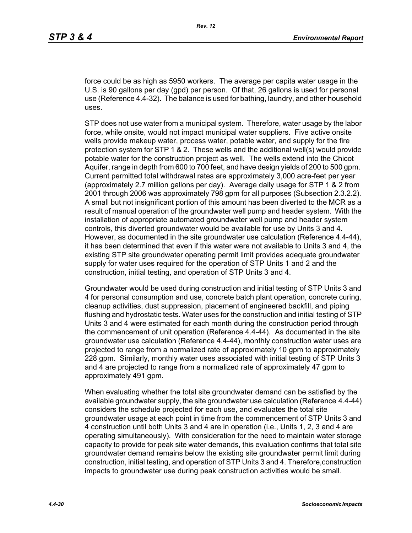force could be as high as 5950 workers. The average per capita water usage in the U.S. is 90 gallons per day (gpd) per person. Of that, 26 gallons is used for personal use (Reference 4.4-32). The balance is used for bathing, laundry, and other household uses.

STP does not use water from a municipal system. Therefore, water usage by the labor force, while onsite, would not impact municipal water suppliers. Five active onsite wells provide makeup water, process water, potable water, and supply for the fire protection system for STP 1 & 2. These wells and the additional well(s) would provide potable water for the construction project as well. The wells extend into the Chicot Aquifer, range in depth from 600 to 700 feet, and have design yields of 200 to 500 gpm. Current permitted total withdrawal rates are approximately 3,000 acre-feet per year (approximately 2.7 million gallons per day). Average daily usage for STP 1 & 2 from 2001 through 2006 was approximately 798 gpm for all purposes (Subsection 2.3.2.2). A small but not insignificant portion of this amount has been diverted to the MCR as a result of manual operation of the groundwater well pump and header system. With the installation of appropriate automated groundwater well pump and header system controls, this diverted groundwater would be available for use by Units 3 and 4. However, as documented in the site groundwater use calculation (Reference 4.4-44), it has been determined that even if this water were not available to Units 3 and 4, the existing STP site groundwater operating permit limit provides adequate groundwater supply for water uses required for the operation of STP Units 1 and 2 and the construction, initial testing, and operation of STP Units 3 and 4.

Groundwater would be used during construction and initial testing of STP Units 3 and 4 for personal consumption and use, concrete batch plant operation, concrete curing, cleanup activities, dust suppression, placement of engineered backfill, and piping flushing and hydrostatic tests. Water uses for the construction and initial testing of STP Units 3 and 4 were estimated for each month during the construction period through the commencement of unit operation (Reference 4.4-44). As documented in the site groundwater use calculation (Reference 4.4-44), monthly construction water uses are projected to range from a normalized rate of approximately 10 gpm to approximately 228 gpm. Similarly, monthly water uses associated with initial testing of STP Units 3 and 4 are projected to range from a normalized rate of approximately 47 gpm to approximately 491 gpm.

When evaluating whether the total site groundwater demand can be satisfied by the available groundwater supply, the site groundwater use calculation (Reference 4.4-44) considers the schedule projected for each use, and evaluates the total site groundwater usage at each point in time from the commencement of STP Units 3 and 4 construction until both Units 3 and 4 are in operation (i.e., Units 1, 2, 3 and 4 are operating simultaneously). With consideration for the need to maintain water storage capacity to provide for peak site water demands, this evaluation confirms that total site groundwater demand remains below the existing site groundwater permit limit during construction, initial testing, and operation of STP Units 3 and 4. Therefore,construction impacts to groundwater use during peak construction activities would be small.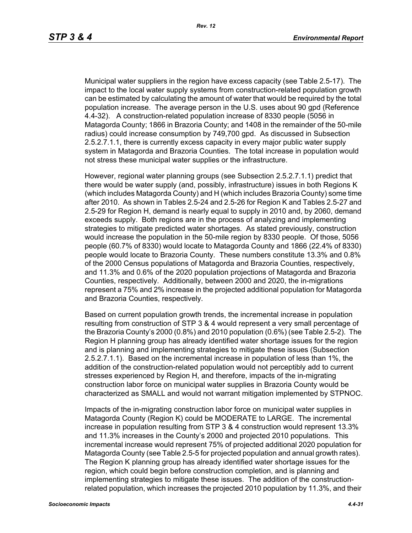Municipal water suppliers in the region have excess capacity (see Table 2.5-17). The impact to the local water supply systems from construction-related population growth can be estimated by calculating the amount of water that would be required by the total population increase. The average person in the U.S. uses about 90 gpd (Reference 4.4-32). A construction-related population increase of 8330 people (5056 in Matagorda County; 1866 in Brazoria County; and 1408 in the remainder of the 50-mile radius) could increase consumption by 749,700 gpd. As discussed in Subsection 2.5.2.7.1.1, there is currently excess capacity in every major public water supply system in Matagorda and Brazoria Counties. The total increase in population would not stress these municipal water supplies or the infrastructure.

However, regional water planning groups (see Subsection 2.5.2.7.1.1) predict that there would be water supply (and, possibly, infrastructure) issues in both Regions K (which includes Matagorda County) and H (which includes Brazoria County) some time after 2010. As shown in Tables 2.5-24 and 2.5-26 for Region K and Tables 2.5-27 and 2.5-29 for Region H, demand is nearly equal to supply in 2010 and, by 2060, demand exceeds supply. Both regions are in the process of analyzing and implementing strategies to mitigate predicted water shortages. As stated previously, construction would increase the population in the 50-mile region by 8330 people. Of those, 5056 people (60.7% of 8330) would locate to Matagorda County and 1866 (22.4% of 8330) people would locate to Brazoria County. These numbers constitute 13.3% and 0.8% of the 2000 Census populations of Matagorda and Brazoria Counties, respectively, and 11.3% and 0.6% of the 2020 population projections of Matagorda and Brazoria Counties, respectively. Additionally, between 2000 and 2020, the in-migrations represent a 75% and 2% increase in the projected additional population for Matagorda and Brazoria Counties, respectively.

Based on current population growth trends, the incremental increase in population resulting from construction of STP 3 & 4 would represent a very small percentage of the Brazoria County's 2000 (0.8%) and 2010 population (0.6%) (see Table 2.5-2). The Region H planning group has already identified water shortage issues for the region and is planning and implementing strategies to mitigate these issues (Subsection 2.5.2.7.1.1). Based on the incremental increase in population of less than 1%, the addition of the construction-related population would not perceptibly add to current stresses experienced by Region H, and therefore, impacts of the in-migrating construction labor force on municipal water supplies in Brazoria County would be characterized as SMALL and would not warrant mitigation implemented by STPNOC.

Impacts of the in-migrating construction labor force on municipal water supplies in Matagorda County (Region K) could be MODERATE to LARGE. The incremental increase in population resulting from STP 3 & 4 construction would represent 13.3% and 11.3% increases in the County's 2000 and projected 2010 populations. This incremental increase would represent 75% of projected additional 2020 population for Matagorda County (see Table 2.5-5 for projected population and annual growth rates). The Region K planning group has already identified water shortage issues for the region, which could begin before construction completion, and is planning and implementing strategies to mitigate these issues. The addition of the constructionrelated population, which increases the projected 2010 population by 11.3%, and their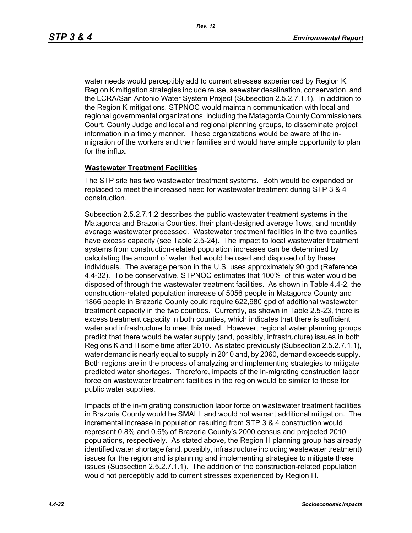water needs would perceptibly add to current stresses experienced by Region K. Region K mitigation strategies include reuse, seawater desalination, conservation, and the LCRA/San Antonio Water System Project (Subsection 2.5.2.7.1.1). In addition to the Region K mitigations, STPNOC would maintain communication with local and regional governmental organizations, including the Matagorda County Commissioners Court, County Judge and local and regional planning groups, to disseminate project information in a timely manner. These organizations would be aware of the inmigration of the workers and their families and would have ample opportunity to plan for the influx.

#### **Wastewater Treatment Facilities**

The STP site has two wastewater treatment systems. Both would be expanded or replaced to meet the increased need for wastewater treatment during STP 3 & 4 construction.

Subsection 2.5.2.7.1.2 describes the public wastewater treatment systems in the Matagorda and Brazoria Counties, their plant-designed average flows, and monthly average wastewater processed. Wastewater treatment facilities in the two counties have excess capacity (see Table 2.5-24). The impact to local wastewater treatment systems from construction-related population increases can be determined by calculating the amount of water that would be used and disposed of by these individuals. The average person in the U.S. uses approximately 90 gpd (Reference 4.4-32). To be conservative, STPNOC estimates that 100% of this water would be disposed of through the wastewater treatment facilities. As shown in Table 4.4-2, the construction-related population increase of 5056 people in Matagorda County and 1866 people in Brazoria County could require 622,980 gpd of additional wastewater treatment capacity in the two counties. Currently, as shown in Table 2.5-23, there is excess treatment capacity in both counties, which indicates that there is sufficient water and infrastructure to meet this need. However, regional water planning groups predict that there would be water supply (and, possibly, infrastructure) issues in both Regions K and H some time after 2010. As stated previously (Subsection 2.5.2.7.1.1), water demand is nearly equal to supply in 2010 and, by 2060, demand exceeds supply. Both regions are in the process of analyzing and implementing strategies to mitigate predicted water shortages. Therefore, impacts of the in-migrating construction labor force on wastewater treatment facilities in the region would be similar to those for public water supplies.

Impacts of the in-migrating construction labor force on wastewater treatment facilities in Brazoria County would be SMALL and would not warrant additional mitigation. The incremental increase in population resulting from STP 3 & 4 construction would represent 0.8% and 0.6% of Brazoria County's 2000 census and projected 2010 populations, respectively. As stated above, the Region H planning group has already identified water shortage (and, possibly, infrastructure including wastewater treatment) issues for the region and is planning and implementing strategies to mitigate these issues (Subsection 2.5.2.7.1.1). The addition of the construction-related population would not perceptibly add to current stresses experienced by Region H.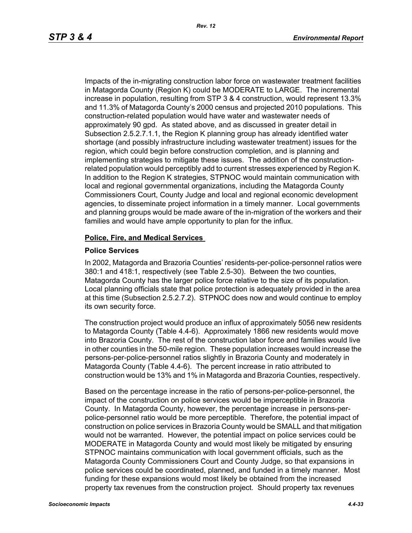Impacts of the in-migrating construction labor force on wastewater treatment facilities in Matagorda County (Region K) could be MODERATE to LARGE. The incremental increase in population, resulting from STP 3 & 4 construction, would represent 13.3% and 11.3% of Matagorda County's 2000 census and projected 2010 populations. This construction-related population would have water and wastewater needs of approximately 90 gpd. As stated above, and as discussed in greater detail in Subsection 2.5.2.7.1.1, the Region K planning group has already identified water shortage (and possibly infrastructure including wastewater treatment) issues for the region, which could begin before construction completion, and is planning and implementing strategies to mitigate these issues. The addition of the constructionrelated population would perceptibly add to current stresses experienced by Region K. In addition to the Region K strategies, STPNOC would maintain communication with local and regional governmental organizations, including the Matagorda County Commissioners Court, County Judge and local and regional economic development agencies, to disseminate project information in a timely manner. Local governments and planning groups would be made aware of the in-migration of the workers and their families and would have ample opportunity to plan for the influx.

#### **Police, Fire, and Medical Services**

#### **Police Services**

In 2002, Matagorda and Brazoria Counties' residents-per-police-personnel ratios were 380:1 and 418:1, respectively (see Table 2.5-30). Between the two counties, Matagorda County has the larger police force relative to the size of its population. Local planning officials state that police protection is adequately provided in the area at this time (Subsection 2.5.2.7.2). STPNOC does now and would continue to employ its own security force.

The construction project would produce an influx of approximately 5056 new residents to Matagorda County (Table 4.4-6). Approximately 1866 new residents would move into Brazoria County. The rest of the construction labor force and families would live in other counties in the 50-mile region. These population increases would increase the persons-per-police-personnel ratios slightly in Brazoria County and moderately in Matagorda County (Table 4.4-6). The percent increase in ratio attributed to construction would be 13% and 1% in Matagorda and Brazoria Counties, respectively.

Based on the percentage increase in the ratio of persons-per-police-personnel, the impact of the construction on police services would be imperceptible in Brazoria County. In Matagorda County, however, the percentage increase in persons-perpolice-personnel ratio would be more perceptible. Therefore, the potential impact of construction on police services in Brazoria County would be SMALL and that mitigation would not be warranted. However, the potential impact on police services could be MODERATE in Matagorda County and would most likely be mitigated by ensuring STPNOC maintains communication with local government officials, such as the Matagorda County Commissioners Court and County Judge, so that expansions in police services could be coordinated, planned, and funded in a timely manner. Most funding for these expansions would most likely be obtained from the increased property tax revenues from the construction project. Should property tax revenues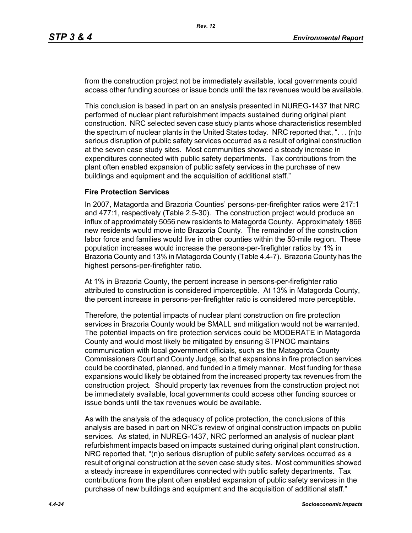from the construction project not be immediately available, local governments could access other funding sources or issue bonds until the tax revenues would be available.

This conclusion is based in part on an analysis presented in NUREG-1437 that NRC performed of nuclear plant refurbishment impacts sustained during original plant construction. NRC selected seven case study plants whose characteristics resembled the spectrum of nuclear plants in the United States today. NRC reported that, ". . . (n)o serious disruption of public safety services occurred as a result of original construction at the seven case study sites. Most communities showed a steady increase in expenditures connected with public safety departments. Tax contributions from the plant often enabled expansion of public safety services in the purchase of new buildings and equipment and the acquisition of additional staff."

#### **Fire Protection Services**

In 2007, Matagorda and Brazoria Counties' persons-per-firefighter ratios were 217:1 and 477:1, respectively (Table 2.5-30). The construction project would produce an influx of approximately 5056 new residents to Matagorda County. Approximately 1866 new residents would move into Brazoria County. The remainder of the construction labor force and families would live in other counties within the 50-mile region. These population increases would increase the persons-per-firefighter ratios by 1% in Brazoria County and 13% in Matagorda County (Table 4.4-7). Brazoria County has the highest persons-per-firefighter ratio.

At 1% in Brazoria County, the percent increase in persons-per-firefighter ratio attributed to construction is considered imperceptible. At 13% in Matagorda County, the percent increase in persons-per-firefighter ratio is considered more perceptible.

Therefore, the potential impacts of nuclear plant construction on fire protection services in Brazoria County would be SMALL and mitigation would not be warranted. The potential impacts on fire protection services could be MODERATE in Matagorda County and would most likely be mitigated by ensuring STPNOC maintains communication with local government officials, such as the Matagorda County Commissioners Court and County Judge, so that expansions in fire protection services could be coordinated, planned, and funded in a timely manner. Most funding for these expansions would likely be obtained from the increased property tax revenues from the construction project. Should property tax revenues from the construction project not be immediately available, local governments could access other funding sources or issue bonds until the tax revenues would be available.

As with the analysis of the adequacy of police protection, the conclusions of this analysis are based in part on NRC's review of original construction impacts on public services. As stated, in NUREG-1437, NRC performed an analysis of nuclear plant refurbishment impacts based on impacts sustained during original plant construction. NRC reported that, "(n)o serious disruption of public safety services occurred as a result of original construction at the seven case study sites. Most communities showed a steady increase in expenditures connected with public safety departments. Tax contributions from the plant often enabled expansion of public safety services in the purchase of new buildings and equipment and the acquisition of additional staff."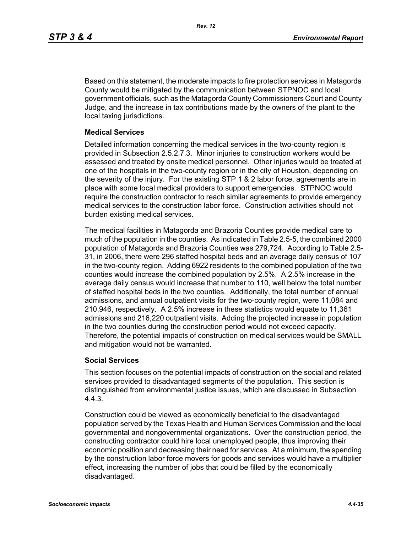Based on this statement, the moderate impacts to fire protection services in Matagorda County would be mitigated by the communication between STPNOC and local government officials, such as the Matagorda County Commissioners Court and County Judge, and the increase in tax contributions made by the owners of the plant to the local taxing jurisdictions.

#### **Medical Services**

Detailed information concerning the medical services in the two-county region is provided in Subsection 2.5.2.7.3. Minor injuries to construction workers would be assessed and treated by onsite medical personnel. Other injuries would be treated at one of the hospitals in the two-county region or in the city of Houston, depending on the severity of the injury. For the existing STP 1 & 2 labor force, agreements are in place with some local medical providers to support emergencies. STPNOC would require the construction contractor to reach similar agreements to provide emergency medical services to the construction labor force. Construction activities should not burden existing medical services.

The medical facilities in Matagorda and Brazoria Counties provide medical care to much of the population in the counties. As indicated in Table 2.5-5, the combined 2000 population of Matagorda and Brazoria Counties was 279,724. According to Table 2.5- 31, in 2006, there were 296 staffed hospital beds and an average daily census of 107 in the two-county region. Adding 6922 residents to the combined population of the two counties would increase the combined population by 2.5%. A 2.5% increase in the average daily census would increase that number to 110, well below the total number of staffed hospital beds in the two counties. Additionally, the total number of annual admissions, and annual outpatient visits for the two-county region, were 11,084 and 210,946, respectively. A 2.5% increase in these statistics would equate to 11,361 admissions and 216,220 outpatient visits. Adding the projected increase in population in the two counties during the construction period would not exceed capacity. Therefore, the potential impacts of construction on medical services would be SMALL and mitigation would not be warranted.

## **Social Services**

This section focuses on the potential impacts of construction on the social and related services provided to disadvantaged segments of the population. This section is distinguished from environmental justice issues, which are discussed in Subsection 4.4.3.

Construction could be viewed as economically beneficial to the disadvantaged population served by the Texas Health and Human Services Commission and the local governmental and nongovernmental organizations. Over the construction period, the constructing contractor could hire local unemployed people, thus improving their economic position and decreasing their need for services. At a minimum, the spending by the construction labor force movers for goods and services would have a multiplier effect, increasing the number of jobs that could be filled by the economically disadvantaged.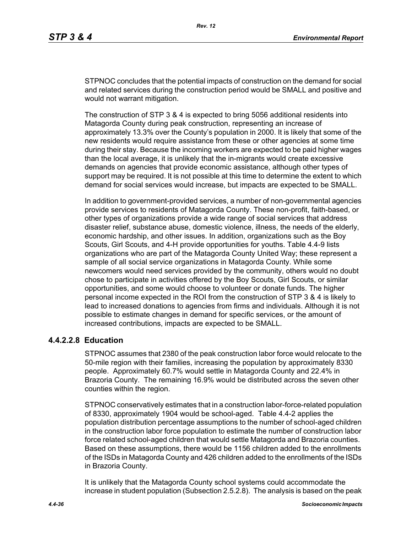STPNOC concludes that the potential impacts of construction on the demand for social and related services during the construction period would be SMALL and positive and would not warrant mitigation.

The construction of STP 3 & 4 is expected to bring 5056 additional residents into Matagorda County during peak construction, representing an increase of approximately 13.3% over the County's population in 2000. It is likely that some of the new residents would require assistance from these or other agencies at some time during their stay. Because the incoming workers are expected to be paid higher wages than the local average, it is unlikely that the in-migrants would create excessive demands on agencies that provide economic assistance, although other types of support may be required. It is not possible at this time to determine the extent to which demand for social services would increase, but impacts are expected to be SMALL.

In addition to government-provided services, a number of non-governmental agencies provide services to residents of Matagorda County. These non-profit, faith-based, or other types of organizations provide a wide range of social services that address disaster relief, substance abuse, domestic violence, illness, the needs of the elderly, economic hardship, and other issues. In addition, organizations such as the Boy Scouts, Girl Scouts, and 4-H provide opportunities for youths. Table 4.4-9 lists organizations who are part of the Matagorda County United Way; these represent a sample of all social service organizations in Matagorda County. While some newcomers would need services provided by the community, others would no doubt chose to participate in activities offered by the Boy Scouts, Girl Scouts, or similar opportunities, and some would choose to volunteer or donate funds. The higher personal income expected in the ROI from the construction of STP 3 & 4 is likely to lead to increased donations to agencies from firms and individuals. Although it is not possible to estimate changes in demand for specific services, or the amount of increased contributions, impacts are expected to be SMALL.

# **4.4.2.2.8 Education**

STPNOC assumes that 2380 of the peak construction labor force would relocate to the 50-mile region with their families, increasing the population by approximately 8330 people. Approximately 60.7% would settle in Matagorda County and 22.4% in Brazoria County. The remaining 16.9% would be distributed across the seven other counties within the region.

STPNOC conservatively estimates that in a construction labor-force-related population of 8330, approximately 1904 would be school-aged. Table 4.4-2 applies the population distribution percentage assumptions to the number of school-aged children in the construction labor force population to estimate the number of construction labor force related school-aged children that would settle Matagorda and Brazoria counties. Based on these assumptions, there would be 1156 children added to the enrollments of the ISDs in Matagorda County and 426 children added to the enrollments of the ISDs in Brazoria County.

It is unlikely that the Matagorda County school systems could accommodate the increase in student population (Subsection 2.5.2.8). The analysis is based on the peak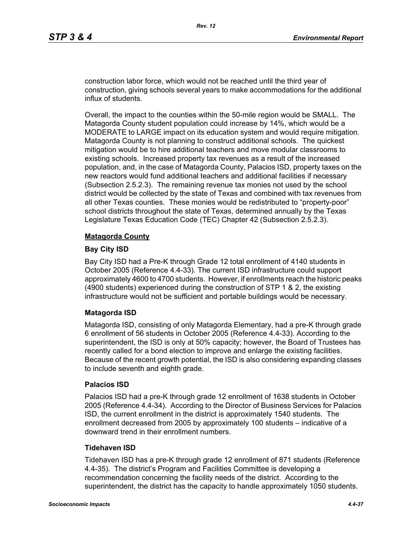construction labor force, which would not be reached until the third year of construction, giving schools several years to make accommodations for the additional influx of students.

Overall, the impact to the counties within the 50-mile region would be SMALL. The Matagorda County student population could increase by 14%, which would be a MODERATE to LARGE impact on its education system and would require mitigation. Matagorda County is not planning to construct additional schools. The quickest mitigation would be to hire additional teachers and move modular classrooms to existing schools. Increased property tax revenues as a result of the increased population, and, in the case of Matagorda County, Palacios ISD, property taxes on the new reactors would fund additional teachers and additional facilities if necessary (Subsection 2.5.2.3). The remaining revenue tax monies not used by the school district would be collected by the state of Texas and combined with tax revenues from all other Texas counties. These monies would be redistributed to "property-poor" school districts throughout the state of Texas, determined annually by the Texas Legislature Texas Education Code (TEC) Chapter 42 (Subsection 2.5.2.3).

#### **Matagorda County**

#### **Bay City ISD**

Bay City ISD had a Pre-K through Grade 12 total enrollment of 4140 students in October 2005 (Reference 4.4-33). The current ISD infrastructure could support approximately 4600 to 4700 students. However, if enrollments reach the historic peaks (4900 students) experienced during the construction of STP 1 & 2, the existing infrastructure would not be sufficient and portable buildings would be necessary.

## **Matagorda ISD**

Matagorda ISD, consisting of only Matagorda Elementary, had a pre-K through grade 6 enrollment of 56 students in October 2005 (Reference 4.4-33). According to the superintendent, the ISD is only at 50% capacity; however, the Board of Trustees has recently called for a bond election to improve and enlarge the existing facilities. Because of the recent growth potential, the ISD is also considering expanding classes to include seventh and eighth grade.

#### **Palacios ISD**

Palacios ISD had a pre-K through grade 12 enrollment of 1638 students in October 2005 (Reference 4.4-34). According to the Director of Business Services for Palacios ISD, the current enrollment in the district is approximately 1540 students. The enrollment decreased from 2005 by approximately 100 students – indicative of a downward trend in their enrollment numbers.

#### **Tidehaven ISD**

Tidehaven ISD has a pre-K through grade 12 enrollment of 871 students (Reference 4.4-35). The district's Program and Facilities Committee is developing a recommendation concerning the facility needs of the district. According to the superintendent, the district has the capacity to handle approximately 1050 students.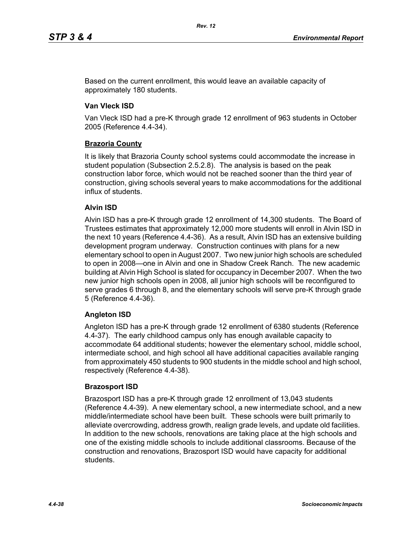Based on the current enrollment, this would leave an available capacity of approximately 180 students.

## **Van Vleck ISD**

Van Vleck ISD had a pre-K through grade 12 enrollment of 963 students in October 2005 (Reference 4.4-34).

## **Brazoria County**

It is likely that Brazoria County school systems could accommodate the increase in student population (Subsection 2.5.2.8). The analysis is based on the peak construction labor force, which would not be reached sooner than the third year of construction, giving schools several years to make accommodations for the additional influx of students.

## **Alvin ISD**

Alvin ISD has a pre-K through grade 12 enrollment of 14,300 students. The Board of Trustees estimates that approximately 12,000 more students will enroll in Alvin ISD in the next 10 years (Reference 4.4-36). As a result, Alvin ISD has an extensive building development program underway. Construction continues with plans for a new elementary school to open in August 2007. Two new junior high schools are scheduled to open in 2008—one in Alvin and one in Shadow Creek Ranch. The new academic building at Alvin High School is slated for occupancy in December 2007. When the two new junior high schools open in 2008, all junior high schools will be reconfigured to serve grades 6 through 8, and the elementary schools will serve pre-K through grade 5 (Reference 4.4-36).

## **Angleton ISD**

Angleton ISD has a pre-K through grade 12 enrollment of 6380 students (Reference 4.4-37). The early childhood campus only has enough available capacity to accommodate 64 additional students; however the elementary school, middle school, intermediate school, and high school all have additional capacities available ranging from approximately 450 students to 900 students in the middle school and high school, respectively (Reference 4.4-38).

## **Brazosport ISD**

Brazosport ISD has a pre-K through grade 12 enrollment of 13,043 students (Reference 4.4-39). A new elementary school, a new intermediate school, and a new middle/intermediate school have been built. These schools were built primarily to alleviate overcrowding, address growth, realign grade levels, and update old facilities. In addition to the new schools, renovations are taking place at the high schools and one of the existing middle schools to include additional classrooms. Because of the construction and renovations, Brazosport ISD would have capacity for additional students.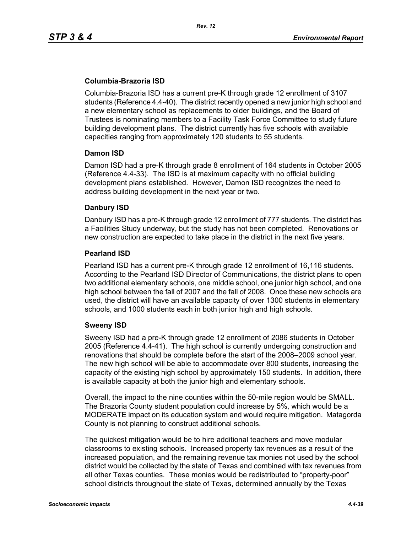## **Columbia-Brazoria ISD**

Columbia-Brazoria ISD has a current pre-K through grade 12 enrollment of 3107 students (Reference 4.4-40). The district recently opened a new junior high school and a new elementary school as replacements to older buildings, and the Board of Trustees is nominating members to a Facility Task Force Committee to study future building development plans. The district currently has five schools with available capacities ranging from approximately 120 students to 55 students.

#### **Damon ISD**

Damon ISD had a pre-K through grade 8 enrollment of 164 students in October 2005 (Reference 4.4-33). The ISD is at maximum capacity with no official building development plans established. However, Damon ISD recognizes the need to address building development in the next year or two.

## **Danbury ISD**

Danbury ISD has a pre-K through grade 12 enrollment of 777 students. The district has a Facilities Study underway, but the study has not been completed. Renovations or new construction are expected to take place in the district in the next five years.

#### **Pearland ISD**

Pearland ISD has a current pre-K through grade 12 enrollment of 16,116 students. According to the Pearland ISD Director of Communications, the district plans to open two additional elementary schools, one middle school, one junior high school, and one high school between the fall of 2007 and the fall of 2008. Once these new schools are used, the district will have an available capacity of over 1300 students in elementary schools, and 1000 students each in both junior high and high schools.

## **Sweeny ISD**

Sweeny ISD had a pre-K through grade 12 enrollment of 2086 students in October 2005 (Reference 4.4-41). The high school is currently undergoing construction and renovations that should be complete before the start of the 2008–2009 school year. The new high school will be able to accommodate over 800 students, increasing the capacity of the existing high school by approximately 150 students. In addition, there is available capacity at both the junior high and elementary schools.

Overall, the impact to the nine counties within the 50-mile region would be SMALL. The Brazoria County student population could increase by 5%, which would be a MODERATE impact on its education system and would require mitigation. Matagorda County is not planning to construct additional schools.

The quickest mitigation would be to hire additional teachers and move modular classrooms to existing schools. Increased property tax revenues as a result of the increased population, and the remaining revenue tax monies not used by the school district would be collected by the state of Texas and combined with tax revenues from all other Texas counties. These monies would be redistributed to "property-poor" school districts throughout the state of Texas, determined annually by the Texas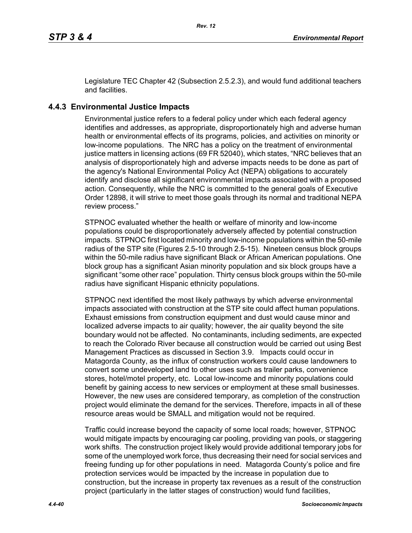Legislature TEC Chapter 42 (Subsection 2.5.2.3), and would fund additional teachers and facilities.

# **4.4.3 Environmental Justice Impacts**

Environmental justice refers to a federal policy under which each federal agency identifies and addresses, as appropriate, disproportionately high and adverse human health or environmental effects of its programs, policies, and activities on minority or low-income populations. The NRC has a policy on the treatment of environmental justice matters in licensing actions (69 FR 52040), which states, "NRC believes that an analysis of disproportionately high and adverse impacts needs to be done as part of the agency's National Environmental Policy Act (NEPA) obligations to accurately identify and disclose all significant environmental impacts associated with a proposed action. Consequently, while the NRC is committed to the general goals of Executive Order 12898, it will strive to meet those goals through its normal and traditional NEPA review process."

STPNOC evaluated whether the health or welfare of minority and low-income populations could be disproportionately adversely affected by potential construction impacts. STPNOC first located minority and low-income populations within the 50-mile radius of the STP site (Figures 2.5-10 through 2.5-15). Nineteen census block groups within the 50-mile radius have significant Black or African American populations. One block group has a significant Asian minority population and six block groups have a significant "some other race" population. Thirty census block groups within the 50-mile radius have significant Hispanic ethnicity populations.

STPNOC next identified the most likely pathways by which adverse environmental impacts associated with construction at the STP site could affect human populations. Exhaust emissions from construction equipment and dust would cause minor and localized adverse impacts to air quality; however, the air quality beyond the site boundary would not be affected. No contaminants, including sediments, are expected to reach the Colorado River because all construction would be carried out using Best Management Practices as discussed in Section 3.9. Impacts could occur in Matagorda County, as the influx of construction workers could cause landowners to convert some undeveloped land to other uses such as trailer parks, convenience stores, hotel/motel property, etc. Local low-income and minority populations could benefit by gaining access to new services or employment at these small businesses. However, the new uses are considered temporary, as completion of the construction project would eliminate the demand for the services. Therefore, impacts in all of these resource areas would be SMALL and mitigation would not be required.

Traffic could increase beyond the capacity of some local roads; however, STPNOC would mitigate impacts by encouraging car pooling, providing van pools, or staggering work shifts. The construction project likely would provide additional temporary jobs for some of the unemployed work force, thus decreasing their need for social services and freeing funding up for other populations in need. Matagorda County's police and fire protection services would be impacted by the increase in population due to construction, but the increase in property tax revenues as a result of the construction project (particularly in the latter stages of construction) would fund facilities,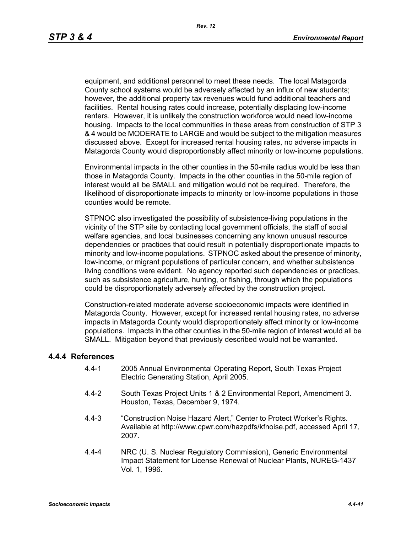equipment, and additional personnel to meet these needs. The local Matagorda County school systems would be adversely affected by an influx of new students; however, the additional property tax revenues would fund additional teachers and facilities. Rental housing rates could increase, potentially displacing low-income renters. However, it is unlikely the construction workforce would need low-income housing. Impacts to the local communities in these areas from construction of STP 3 & 4 would be MODERATE to LARGE and would be subject to the mitigation measures discussed above. Except for increased rental housing rates, no adverse impacts in Matagorda County would disproportionably affect minority or low-income populations.

Environmental impacts in the other counties in the 50-mile radius would be less than those in Matagorda County. Impacts in the other counties in the 50-mile region of interest would all be SMALL and mitigation would not be required. Therefore, the likelihood of disproportionate impacts to minority or low-income populations in those counties would be remote.

STPNOC also investigated the possibility of subsistence-living populations in the vicinity of the STP site by contacting local government officials, the staff of social welfare agencies, and local businesses concerning any known unusual resource dependencies or practices that could result in potentially disproportionate impacts to minority and low-income populations. STPNOC asked about the presence of minority, low-income, or migrant populations of particular concern, and whether subsistence living conditions were evident. No agency reported such dependencies or practices, such as subsistence agriculture, hunting, or fishing, through which the populations could be disproportionately adversely affected by the construction project.

Construction-related moderate adverse socioeconomic impacts were identified in Matagorda County. However, except for increased rental housing rates, no adverse impacts in Matagorda County would disproportionately affect minority or low-income populations. Impacts in the other counties in the 50-mile region of interest would all be SMALL. Mitigation beyond that previously described would not be warranted.

#### **4.4.4 References**

- 4.4-1 2005 Annual Environmental Operating Report, South Texas Project Electric Generating Station, April 2005.
- 4.4-2 South Texas Project Units 1 & 2 Environmental Report, Amendment 3. Houston, Texas, December 9, 1974.
- 4.4-3 "Construction Noise Hazard Alert," Center to Protect Worker's Rights. Available at http://www.cpwr.com/hazpdfs/kfnoise.pdf, accessed April 17, 2007.
- 4.4-4 NRC (U. S. Nuclear Regulatory Commission), Generic Environmental Impact Statement for License Renewal of Nuclear Plants, NUREG-1437 Vol. 1, 1996.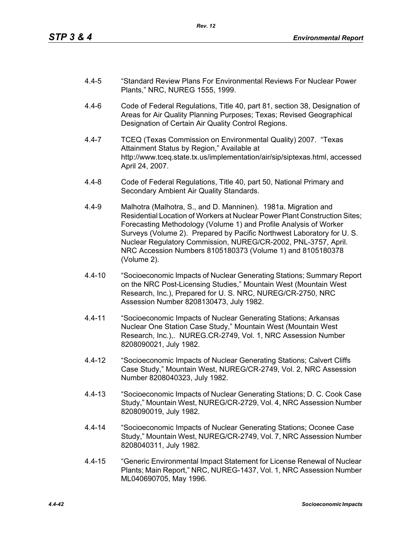- 4.4-5 "Standard Review Plans For Environmental Reviews For Nuclear Power Plants," NRC, NUREG 1555, 1999.
- 4.4-6 Code of Federal Regulations, Title 40, part 81, section 38, Designation of Areas for Air Quality Planning Purposes; Texas; Revised Geographical Designation of Certain Air Quality Control Regions.
- 4.4-7 TCEQ (Texas Commission on Environmental Quality) 2007. "Texas Attainment Status by Region," Available at http://www.tceq.state.tx.us/implementation/air/sip/siptexas.html, accessed April 24, 2007.
- 4.4-8 Code of Federal Regulations, Title 40, part 50, National Primary and Secondary Ambient Air Quality Standards.
- 4.4-9 Malhotra (Malhotra, S., and D. Manninen). 1981a. Migration and Residential Location of Workers at Nuclear Power Plant Construction Sites; Forecasting Methodology (Volume 1) and Profile Analysis of Worker Surveys (Volume 2). Prepared by Pacific Northwest Laboratory for U. S. Nuclear Regulatory Commission, NUREG/CR-2002, PNL-3757, April. NRC Accession Numbers 8105180373 (Volume 1) and 8105180378 (Volume 2).
- 4.4-10 "Socioeconomic Impacts of Nuclear Generating Stations; Summary Report on the NRC Post-Licensing Studies," Mountain West (Mountain West Research, Inc.), Prepared for U. S. NRC, NUREG/CR-2750, NRC Assession Number 8208130473, July 1982.
- 4.4-11 "Socioeconomic Impacts of Nuclear Generating Stations; Arkansas Nuclear One Station Case Study," Mountain West (Mountain West Research, Inc.),. NUREG.CR-2749, Vol. 1, NRC Assession Number 8208090021, July 1982.
- 4.4-12 "Socioeconomic Impacts of Nuclear Generating Stations; Calvert Cliffs Case Study," Mountain West, NUREG/CR-2749, Vol. 2, NRC Assession Number 8208040323, July 1982.
- 4.4-13 "Socioeconomic Impacts of Nuclear Generating Stations; D. C. Cook Case Study," Mountain West, NUREG/CR-2729, Vol. 4, NRC Assession Number 8208090019, July 1982.
- 4.4-14 "Socioeconomic Impacts of Nuclear Generating Stations; Oconee Case Study," Mountain West, NUREG/CR-2749, Vol. 7, NRC Assession Number 8208040311, July 1982.
- 4.4-15 "Generic Environmental Impact Statement for License Renewal of Nuclear Plants; Main Report," NRC, NUREG-1437, Vol. 1, NRC Assession Number ML040690705, May 1996.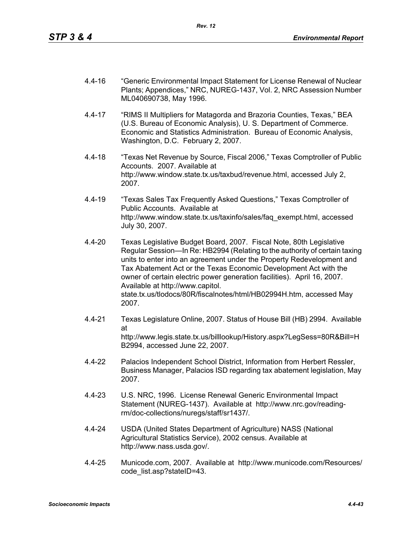- 4.4-16 "Generic Environmental Impact Statement for License Renewal of Nuclear Plants; Appendices," NRC, NUREG-1437, Vol. 2, NRC Assession Number ML040690738, May 1996.
- 4.4-17 "RIMS II Multipliers for Matagorda and Brazoria Counties, Texas," BEA (U.S. Bureau of Economic Analysis), U. S. Department of Commerce. Economic and Statistics Administration. Bureau of Economic Analysis, Washington, D.C. February 2, 2007.
- 4.4-18 "Texas Net Revenue by Source, Fiscal 2006," Texas Comptroller of Public Accounts. 2007. Available at http://www.window.state.tx.us/taxbud/revenue.html, accessed July 2, 2007.
- 4.4-19 "Texas Sales Tax Frequently Asked Questions," Texas Comptroller of Public Accounts. Available at http://www.window.state.tx.us/taxinfo/sales/faq\_exempt.html, accessed July 30, 2007.
- 4.4-20 Texas Legislative Budget Board, 2007. Fiscal Note, 80th Legislative Regular Session—In Re: HB2994 (Relating to the authority of certain taxing units to enter into an agreement under the Property Redevelopment and Tax Abatement Act or the Texas Economic Development Act with the owner of certain electric power generation facilities). April 16, 2007. Available at http://www.capitol. state.tx.us/tlodocs/80R/fiscalnotes/html/HB02994H.htm, accessed May 2007.
- 4.4-21 Texas Legislature Online, 2007. Status of House Bill (HB) 2994. Available at http://www.legis.state.tx.us/billlookup/History.aspx?LegSess=80R&Bill=H B2994, accessed June 22, 2007.
- 4.4-22 Palacios Independent School District, Information from Herbert Ressler, Business Manager, Palacios ISD regarding tax abatement legislation, May 2007.
- 4.4-23 U.S. NRC, 1996. License Renewal Generic Environmental Impact Statement (NUREG-1437). Available at http://www.nrc.gov/readingrm/doc-collections/nuregs/staff/sr1437/.
- 4.4-24 USDA (United States Department of Agriculture) NASS (National Agricultural Statistics Service), 2002 census. Available at http://www.nass.usda.gov/.
- 4.4-25 Municode.com, 2007. Available at http://www.municode.com/Resources/ code\_list.asp?stateID=43.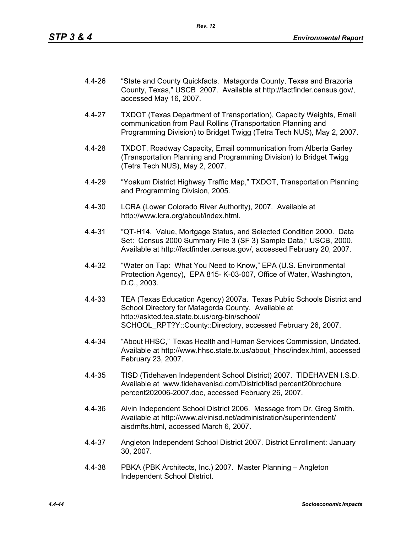- 4.4-26 "State and County Quickfacts. Matagorda County, Texas and Brazoria County, Texas," USCB 2007. Available at http://factfinder.census.gov/, accessed May 16, 2007.
- 4.4-27 TXDOT (Texas Department of Transportation), Capacity Weights, Email communication from Paul Rollins (Transportation Planning and Programming Division) to Bridget Twigg (Tetra Tech NUS), May 2, 2007.
- 4.4-28 TXDOT, Roadway Capacity, Email communication from Alberta Garley (Transportation Planning and Programming Division) to Bridget Twigg (Tetra Tech NUS), May 2, 2007.
- 4.4-29 "Yoakum District Highway Traffic Map," TXDOT, Transportation Planning and Programming Division, 2005.
- 4.4-30 LCRA (Lower Colorado River Authority), 2007. Available at http://www.lcra.org/about/index.html.
- 4.4-31 "QT-H14. Value, Mortgage Status, and Selected Condition 2000. Data Set: Census 2000 Summary File 3 (SF 3) Sample Data," USCB, 2000. Available at http://factfinder.census.gov/, accessed February 20, 2007.
- 4.4-32 "Water on Tap: What You Need to Know," EPA (U.S. Environmental Protection Agency), EPA 815- K-03-007, Office of Water, Washington, D.C., 2003.
- 4.4-33 TEA (Texas Education Agency) 2007a. Texas Public Schools District and School Directory for Matagorda County. Available at http://askted.tea.state.tx.us/org-bin/school/ SCHOOL\_RPT?Y::County::Directory, accessed February 26, 2007.
- 4.4-34 "About HHSC," Texas Health and Human Services Commission, Undated. Available at http://www.hhsc.state.tx.us/about\_hhsc/index.html, accessed February 23, 2007.
- 4.4-35 TISD (Tidehaven Independent School District) 2007. TIDEHAVEN I.S.D. Available at www.tidehavenisd.com/District/tisd percent20brochure percent202006-2007.doc, accessed February 26, 2007.
- 4.4-36 Alvin Independent School District 2006. Message from Dr. Greg Smith. Available at http://www.alvinisd.net/administration/superintendent/ aisdmfts.html, accessed March 6, 2007.
- 4.4-37 Angleton Independent School District 2007. District Enrollment: January 30, 2007.
- 4.4-38 PBKA (PBK Architects, Inc.) 2007. Master Planning Angleton Independent School District.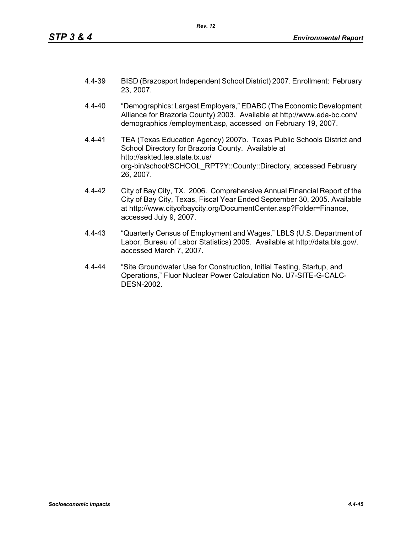- 4.4-39 BISD (Brazosport Independent School District) 2007. Enrollment: February 23, 2007.
- 4.4-40 "Demographics: Largest Employers," EDABC (The Economic Development Alliance for Brazoria County) 2003. Available at http://www.eda-bc.com/ demographics /employment.asp, accessed on February 19, 2007.
- 4.4-41 TEA (Texas Education Agency) 2007b. Texas Public Schools District and School Directory for Brazoria County. Available at http://askted.tea.state.tx.us/ org-bin/school/SCHOOL\_RPT?Y::County::Directory, accessed February 26, 2007.
- 4.4-42 City of Bay City, TX. 2006. Comprehensive Annual Financial Report of the City of Bay City, Texas, Fiscal Year Ended September 30, 2005. Available at http://www.cityofbaycity.org/DocumentCenter.asp?Folder=Finance, accessed July 9, 2007.
- 4.4-43 "Quarterly Census of Employment and Wages," LBLS (U.S. Department of Labor, Bureau of Labor Statistics) 2005. Available at http://data.bls.gov/. accessed March 7, 2007.
- 4.4-44 "Site Groundwater Use for Construction, Initial Testing, Startup, and Operations," Fluor Nuclear Power Calculation No. U7-SITE-G-CALC-DESN-2002.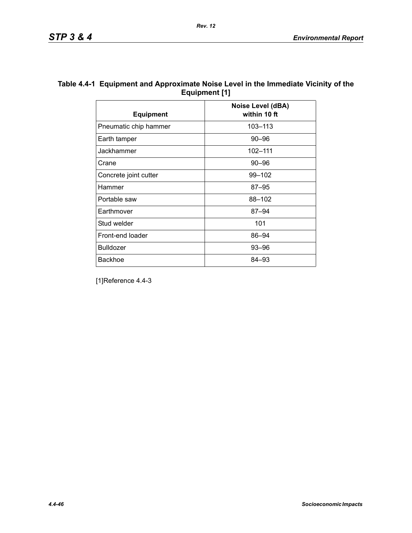| Table 4.4-1 Equipment and Approximate Noise Level in the Immediate Vicinity of the |
|------------------------------------------------------------------------------------|
| Equipment [1]                                                                      |

| <b>Equipment</b>      | Noise Level (dBA)<br>within 10 ft |
|-----------------------|-----------------------------------|
| Pneumatic chip hammer | 103-113                           |
| Earth tamper          | $90 - 96$                         |
| Jackhammer            | 102-111                           |
| Crane                 | $90 - 96$                         |
| Concrete joint cutter | 99-102                            |
| Hammer                | $87 - 95$                         |
| Portable saw          | 88-102                            |
| Earthmover            | $87 - 94$                         |
| Stud welder           | 101                               |
| Front-end loader      | 86-94                             |
| <b>Bulldozer</b>      | $93 - 96$                         |
| <b>Backhoe</b>        | 84–93                             |

[1]Reference 4.4-3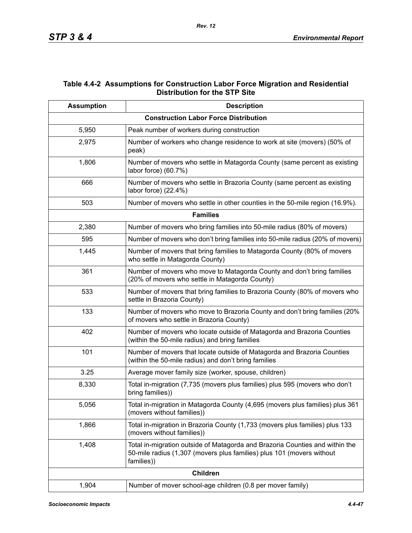## **Table 4.4-2 Assumptions for Construction Labor Force Migration and Residential Distribution for the STP Site**

| <b>Assumption</b> | <b>Description</b>                                                                                                                                                  |
|-------------------|---------------------------------------------------------------------------------------------------------------------------------------------------------------------|
|                   | <b>Construction Labor Force Distribution</b>                                                                                                                        |
| 5,950             | Peak number of workers during construction                                                                                                                          |
| 2,975             | Number of workers who change residence to work at site (movers) (50% of<br>peak)                                                                                    |
| 1,806             | Number of movers who settle in Matagorda County (same percent as existing<br>labor force) (60.7%)                                                                   |
| 666               | Number of movers who settle in Brazoria County (same percent as existing<br>labor force) (22.4%)                                                                    |
| 503               | Number of movers who settle in other counties in the 50-mile region (16.9%).                                                                                        |
|                   | <b>Families</b>                                                                                                                                                     |
| 2,380             | Number of movers who bring families into 50-mile radius (80% of movers)                                                                                             |
| 595               | Number of movers who don't bring families into 50-mile radius (20% of movers)                                                                                       |
| 1,445             | Number of movers that bring families to Matagorda County (80% of movers<br>who settle in Matagorda County)                                                          |
| 361               | Number of movers who move to Matagorda County and don't bring families<br>(20% of movers who settle in Matagorda County)                                            |
| 533               | Number of movers that bring families to Brazoria County (80% of movers who<br>settle in Brazoria County)                                                            |
| 133               | Number of movers who move to Brazoria County and don't bring families (20%<br>of movers who settle in Brazoria County)                                              |
| 402               | Number of movers who locate outside of Matagorda and Brazoria Counties<br>(within the 50-mile radius) and bring families                                            |
| 101               | Number of movers that locate outside of Matagorda and Brazoria Counties<br>(within the 50-mile radius) and don't bring families                                     |
| 3.25              | Average mover family size (worker, spouse, children)                                                                                                                |
| 8,330             | Total in-migration (7,735 (movers plus families) plus 595 (movers who don't<br>bring families))                                                                     |
| 5,056             | Total in-migration in Matagorda County (4,695 (movers plus families) plus 361<br>(movers without families))                                                         |
| 1,866             | Total in-migration in Brazoria County (1,733 (movers plus families) plus 133<br>(movers without families))                                                          |
| 1,408             | Total in-migration outside of Matagorda and Brazoria Counties and within the<br>50-mile radius (1,307 (movers plus families) plus 101 (movers without<br>families)) |
|                   | <b>Children</b>                                                                                                                                                     |
| 1,904             | Number of mover school-age children (0.8 per mover family)                                                                                                          |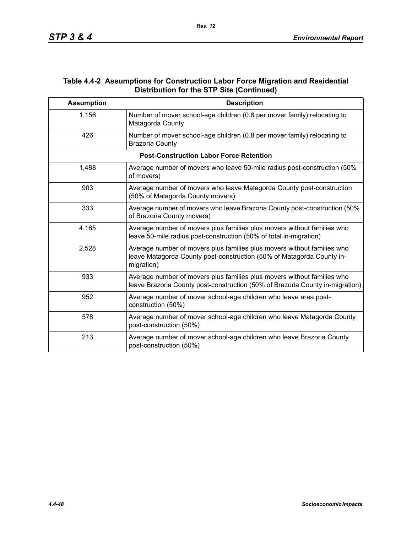## **Table 4.4-2 Assumptions for Construction Labor Force Migration and Residential Distribution for the STP Site (Continued)**

| <b>Assumption</b> | <b>Description</b>                                                                                                                                             |
|-------------------|----------------------------------------------------------------------------------------------------------------------------------------------------------------|
| 1,156             | Number of mover school-age children (0.8 per mover family) relocating to<br>Matagorda County                                                                   |
| 426               | Number of mover school-age children (0.8 per mover family) relocating to<br><b>Brazoria County</b>                                                             |
|                   | <b>Post-Construction Labor Force Retention</b>                                                                                                                 |
| 1,488             | Average number of movers who leave 50-mile radius post-construction (50%<br>of movers)                                                                         |
| 903               | Average number of movers who leave Matagorda County post-construction<br>(50% of Matagorda County movers)                                                      |
| 333               | Average number of movers who leave Brazoria County post-construction (50%)<br>of Brazoria County movers)                                                       |
| 4,165             | Average number of movers plus families plus movers without families who<br>leave 50-mile radius post-construction (50% of total in-migration)                  |
| 2,528             | Average number of movers plus families plus movers without families who<br>leave Matagorda County post-construction (50% of Matagorda County in-<br>migration) |
| 933               | Average number of movers plus families plus movers without families who<br>leave Brazoria County post-construction (50% of Brazoria County in-migration)       |
| 952               | Average number of mover school-age children who leave area post-<br>construction (50%)                                                                         |
| 578               | Average number of mover school-age children who leave Matagorda County<br>post-construction (50%)                                                              |
| 213               | Average number of mover school-age children who leave Brazoria County<br>post-construction (50%)                                                               |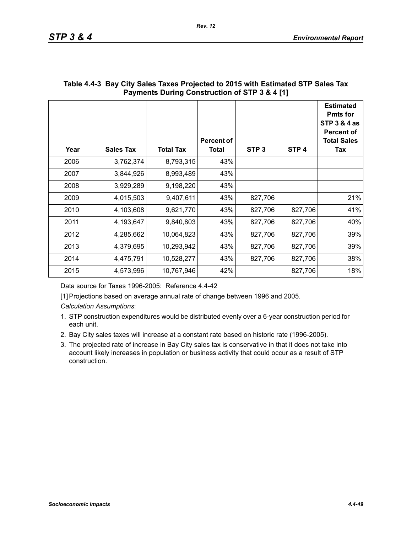| Year | <b>Sales Tax</b> | <b>Total Tax</b> | <b>Percent of</b><br>Total | STP <sub>3</sub> | STP <sub>4</sub> | <b>Estimated</b><br><b>Pmts for</b><br><b>STP 3 &amp; 4 as</b><br><b>Percent of</b><br><b>Total Sales</b><br>Tax |
|------|------------------|------------------|----------------------------|------------------|------------------|------------------------------------------------------------------------------------------------------------------|
| 2006 | 3,762,374        | 8,793,315        | 43%                        |                  |                  |                                                                                                                  |
| 2007 | 3,844,926        | 8,993,489        | 43%                        |                  |                  |                                                                                                                  |
| 2008 | 3,929,289        | 9,198,220        | 43%                        |                  |                  |                                                                                                                  |
| 2009 | 4,015,503        | 9,407,611        | 43%                        | 827,706          |                  | 21%                                                                                                              |
| 2010 | 4,103,608        | 9,621,770        | 43%                        | 827,706          | 827,706          | 41%                                                                                                              |
| 2011 | 4,193,647        | 9,840,803        | 43%                        | 827,706          | 827,706          | 40%                                                                                                              |
| 2012 | 4,285,662        | 10,064,823       | 43%                        | 827,706          | 827,706          | 39%                                                                                                              |
| 2013 | 4,379,695        | 10,293,942       | 43%                        | 827,706          | 827,706          | 39%                                                                                                              |
| 2014 | 4,475,791        | 10,528,277       | 43%                        | 827,706          | 827,706          | 38%                                                                                                              |
| 2015 | 4,573,996        | 10,767,946       | 42%                        |                  | 827,706          | 18%                                                                                                              |

## **Table 4.4-3 Bay City Sales Taxes Projected to 2015 with Estimated STP Sales Tax Payments During Construction of STP 3 & 4 [1]**

Data source for Taxes 1996-2005: Reference 4.4-42

[1] Projections based on average annual rate of change between 1996 and 2005.

*Calculation Assumptions*:

- 1. STP construction expenditures would be distributed evenly over a 6-year construction period for each unit.
- 2. Bay City sales taxes will increase at a constant rate based on historic rate (1996-2005).
- 3. The projected rate of increase in Bay City sales tax is conservative in that it does not take into account likely increases in population or business activity that could occur as a result of STP construction.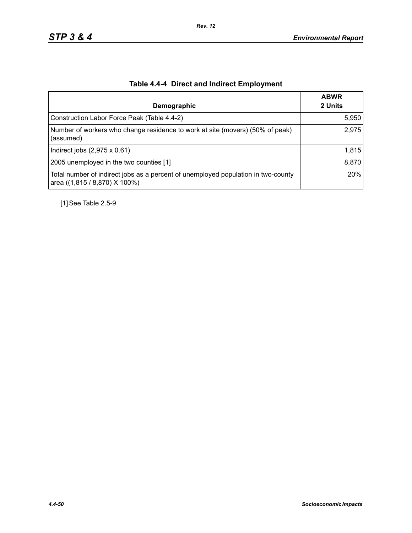| Demographic                                                                                                        | <b>ABWR</b><br>2 Units |
|--------------------------------------------------------------------------------------------------------------------|------------------------|
| Construction Labor Force Peak (Table 4.4-2)                                                                        | 5,950                  |
| Number of workers who change residence to work at site (movers) (50% of peak)<br>(assumed)                         | 2,975                  |
| Indirect jobs $(2,975 \times 0.61)$                                                                                | 1,815                  |
| 2005 unemployed in the two counties [1]                                                                            | 8,870                  |
| Total number of indirect jobs as a percent of unemployed population in two-county<br>area ((1,815 / 8,870) X 100%) | 20%                    |

# **Table 4.4-4 Direct and Indirect Employment**

[1] See Table 2.5-9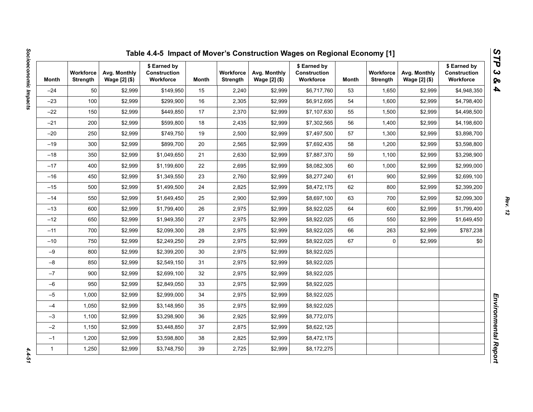| Month        | <b>Workforce</b><br><b>Strength</b> | Avg. Monthly<br>Wage [2] (\$) | \$ Earned by<br>Construction<br>Workforce | Month | <b>Workforce</b><br><b>Strength</b> | Avg. Monthly<br>Wage [2] (\$) | \$ Earned by<br><b>Construction</b><br>Workforce | Month | <b>Workforce</b><br><b>Strength</b> | Avg. Monthly<br>Wage [2] (\$) | \$ Earned by<br>Construction<br>Workforce |
|--------------|-------------------------------------|-------------------------------|-------------------------------------------|-------|-------------------------------------|-------------------------------|--------------------------------------------------|-------|-------------------------------------|-------------------------------|-------------------------------------------|
| $-24$        | 50                                  | \$2,999                       | \$149,950                                 | 15    | 2,240                               | \$2,999                       | \$6,717,760                                      | 53    | 1,650                               | \$2,999                       | \$4,948,350                               |
| $-23$        | 100                                 | \$2,999                       | \$299,900                                 | 16    | 2,305                               | \$2,999                       | \$6,912,695                                      | 54    | 1,600                               | \$2,999                       | \$4,798,400                               |
| $-22$        | 150                                 | \$2,999                       | \$449,850                                 | 17    | 2,370                               | \$2,999                       | \$7,107,630                                      | 55    | 1,500                               | \$2,999                       | \$4,498,500                               |
| $-21$        | 200                                 | \$2,999                       | \$599,800                                 | 18    | 2,435                               | \$2,999                       | \$7,302,565                                      | 56    | 1,400                               | \$2,999                       | \$4,198,600                               |
| $-20$        | 250                                 | \$2,999                       | \$749,750                                 | 19    | 2,500                               | \$2,999                       | \$7,497,500                                      | 57    | 1,300                               | \$2,999                       | \$3,898,700                               |
| $-19$        | 300                                 | \$2,999                       | \$899.700                                 | 20    | 2,565                               | \$2,999                       | \$7,692,435                                      | 58    | 1,200                               | \$2,999                       | \$3,598,800                               |
| $-18$        | 350                                 | \$2,999                       | \$1,049,650                               | 21    | 2,630                               | \$2,999                       | \$7,887,370                                      | 59    | 1,100                               | \$2,999                       | \$3,298,900                               |
| $-17$        | 400                                 | \$2,999                       | \$1,199,600                               | 22    | 2,695                               | \$2,999                       | \$8,082,305                                      | 60    | 1,000                               | \$2,999                       | \$2,999,000                               |
| $-16$        | 450                                 | \$2,999                       | \$1,349,550                               | 23    | 2,760                               | \$2,999                       | \$8,277,240                                      | 61    | 900                                 | \$2,999                       | \$2,699,100                               |
| $-15$        | 500                                 | \$2,999                       | \$1,499,500                               | 24    | 2,825                               | \$2,999                       | \$8,472,175                                      | 62    | 800                                 | \$2,999                       | \$2,399,200                               |
| $-14$        | 550                                 | \$2,999                       | \$1,649,450                               | 25    | 2,900                               | \$2,999                       | \$8,697,100                                      | 63    | 700                                 | \$2,999                       | \$2,099,300                               |
| $-13$        | 600                                 | \$2,999                       | \$1,799,400                               | 26    | 2,975                               | \$2,999                       | \$8,922,025                                      | 64    | 600                                 | \$2,999                       | \$1,799,400                               |
| $-12$        | 650                                 | \$2,999                       | \$1,949,350                               | 27    | 2,975                               | \$2,999                       | \$8,922,025                                      | 65    | 550                                 | \$2,999                       | \$1,649,450                               |
| $-11$        | 700                                 | \$2,999                       | \$2,099,300                               | 28    | 2,975                               | \$2,999                       | \$8,922,025                                      | 66    | 263                                 | \$2,999                       | \$787,238                                 |
| $-10$        | 750                                 | \$2,999                       | \$2,249,250                               | 29    | 2,975                               | \$2,999                       | \$8,922,025                                      | 67    | 0                                   | \$2,999                       | \$0                                       |
| $-9$         | 800                                 | \$2,999                       | \$2,399,200                               | 30    | 2,975                               | \$2,999                       | \$8,922,025                                      |       |                                     |                               |                                           |
| $-8$         | 850                                 | \$2,999                       | \$2,549,150                               | 31    | 2,975                               | \$2,999                       | \$8,922,025                                      |       |                                     |                               |                                           |
| $-7$         | 900                                 | \$2,999                       | \$2,699,100                               | 32    | 2,975                               | \$2,999                       | \$8,922,025                                      |       |                                     |                               |                                           |
| $-6$         | 950                                 | \$2,999                       | \$2,849,050                               | 33    | 2,975                               | \$2,999                       | \$8,922,025                                      |       |                                     |                               |                                           |
| $-5$         | 1,000                               | \$2,999                       | \$2,999,000                               | 34    | 2,975                               | \$2,999                       | \$8,922,025                                      |       |                                     |                               |                                           |
| $-4$         | 1,050                               | \$2,999                       | \$3,148,950                               | 35    | 2,975                               | \$2,999                       | \$8,922,025                                      |       |                                     |                               |                                           |
| $-3$         | 1,100                               | \$2,999                       | \$3,298,900                               | 36    | 2,925                               | \$2,999                       | \$8,772,075                                      |       |                                     |                               |                                           |
| $-2$         | 1,150                               | \$2,999                       | \$3,448,850                               | 37    | 2,875                               | \$2,999                       | \$8,622,125                                      |       |                                     |                               |                                           |
| $-1$         | 1,200                               | \$2,999                       | \$3,598,800                               | 38    | 2,825                               | \$2,999                       | \$8,472,175                                      |       |                                     |                               |                                           |
| $\mathbf{1}$ | 1,250                               | \$2,999                       | \$3,748,750                               | 39    | 2,725                               | \$2,999                       | \$8,172,275                                      |       |                                     |                               |                                           |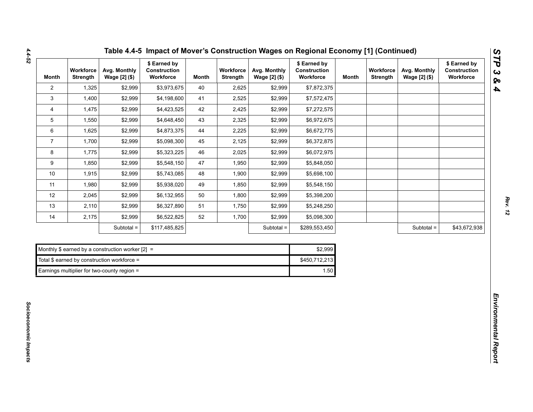| Month          | Workforce<br><b>Strength</b> | Avg. Monthly<br>Wage [2] (\$)                      | \$ Earned by<br>Construction<br>Workforce | <b>Month</b> | Workforce<br>Strength | Avg. Monthly<br>Wage [2] (\$) | \$ Earned by<br>Construction<br>Workforce | Month | Workforce<br>Strength | Avg. Monthly<br>Wage [2] (\$) | \$ Earned by<br>Construction<br>Workforce |
|----------------|------------------------------|----------------------------------------------------|-------------------------------------------|--------------|-----------------------|-------------------------------|-------------------------------------------|-------|-----------------------|-------------------------------|-------------------------------------------|
| $\overline{2}$ | 1,325                        | \$2,999                                            | \$3,973,675                               | 40           | 2,625                 | \$2,999                       | \$7,872,375                               |       |                       |                               |                                           |
| $\mathbf{3}$   | 1,400                        | \$2,999                                            | \$4,198,600                               | 41           | 2,525                 | \$2,999                       | \$7,572,475                               |       |                       |                               |                                           |
| 4              | 1,475                        | \$2,999                                            | \$4,423,525                               | 42           | 2,425                 | \$2,999                       | \$7,272,575                               |       |                       |                               |                                           |
| 5              | 1,550                        | \$2,999                                            | \$4,648,450                               | 43           | 2,325                 | \$2,999                       | \$6,972,675                               |       |                       |                               |                                           |
| 6              | 1,625                        | \$2,999                                            | \$4,873,375                               | 44           | 2,225                 | \$2,999                       | \$6,672,775                               |       |                       |                               |                                           |
| $\overline{7}$ | 1,700                        | \$2,999                                            | \$5,098,300                               | 45           | 2,125                 | \$2,999                       | \$6,372,875                               |       |                       |                               |                                           |
| 8              | 1,775                        | \$2,999                                            | \$5,323,225                               | 46           | 2,025                 | \$2,999                       | \$6,072,975                               |       |                       |                               |                                           |
| 9              | 1,850                        | \$2,999                                            | \$5,548,150                               | 47           | 1,950                 | \$2,999                       | \$5,848,050                               |       |                       |                               |                                           |
| $10$           | 1,915                        | \$2,999                                            | \$5,743,085                               | 48           | 1,900                 | \$2,999                       | \$5,698,100                               |       |                       |                               |                                           |
| 11             | 1,980                        | \$2,999                                            | \$5,938,020                               | 49           | 1,850                 | \$2,999                       | \$5,548,150                               |       |                       |                               |                                           |
| 12             | 2,045                        | \$2,999                                            | \$6,132,955                               | 50           | 1,800                 | \$2,999                       | \$5,398,200                               |       |                       |                               |                                           |
| 13             | 2,110                        | \$2,999                                            | \$6,327,890                               | 51           | 1,750                 | \$2,999                       | \$5,248,250                               |       |                       |                               |                                           |
| 14             | 2,175                        | \$2,999                                            | \$6,522,825                               | 52           | 1,700                 | \$2,999                       | \$5,098,300                               |       |                       |                               |                                           |
|                |                              | Subtotal =                                         | \$117,485,825                             |              |                       | Subtotal =                    | \$289,553,450                             |       |                       | Subtotal =                    | \$43,672,938                              |
|                |                              |                                                    |                                           |              |                       |                               |                                           |       |                       |                               |                                           |
|                |                              | Monthly \$ earned by a construction worker $[2] =$ |                                           |              |                       |                               | \$2,999                                   |       |                       |                               |                                           |
|                |                              | Total \$ earned by construction workforce =        |                                           |              |                       |                               | \$450,712,213                             |       |                       |                               |                                           |
|                |                              | Earnings multiplier for two-county region =        |                                           |              |                       |                               | 1.50                                      |       |                       |                               |                                           |

|  | Table 4.4-5 Impact of Mover's Construction Wages on Regional Economy [1] (Continued) |
|--|--------------------------------------------------------------------------------------|
|--|--------------------------------------------------------------------------------------|

| Monthly \$ earned by a construction worker $[2] =$ | \$2.999       |
|----------------------------------------------------|---------------|
| Total \$ earned by construction workforce =        | \$450.712.213 |
| Earnings multiplier for two-county region =        | 1.50          |

*Rev. 12*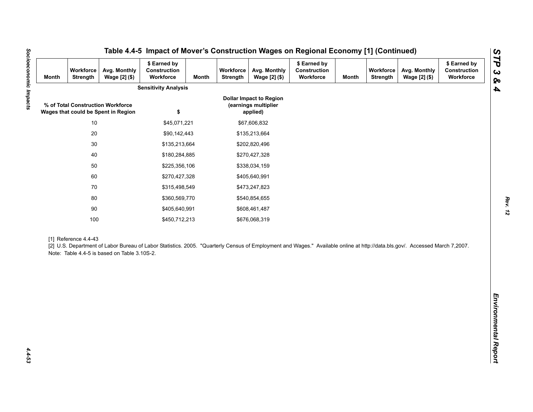| <b>Month</b> | Workforce<br>Strength | Avg. Monthly<br>Wage [2] (\$)                                            | \$ Earned by<br>Construction<br>Workforce                                                                                                                                   | <b>Month</b> | Workforce<br>Strength | Avg. Monthly<br>Wage [2] (\$)                                      | \$ Earned by<br>Construction<br>Workforce | <b>Month</b> | Workforce<br><b>Strength</b> | Avg. Monthly<br>Wage [2] (\$) | \$ Earned by<br>Construction<br>Workforce |
|--------------|-----------------------|--------------------------------------------------------------------------|-----------------------------------------------------------------------------------------------------------------------------------------------------------------------------|--------------|-----------------------|--------------------------------------------------------------------|-------------------------------------------|--------------|------------------------------|-------------------------------|-------------------------------------------|
|              |                       |                                                                          | <b>Sensitivity Analysis</b>                                                                                                                                                 |              |                       |                                                                    |                                           |              |                              |                               |                                           |
|              |                       | % of Total Construction Workforce<br>Wages that could be Spent in Region | \$                                                                                                                                                                          |              |                       | <b>Dollar Impact to Region</b><br>(earnings multiplier<br>applied) |                                           |              |                              |                               |                                           |
|              | $10$                  |                                                                          | \$45,071,221                                                                                                                                                                |              |                       | \$67,606,832                                                       |                                           |              |                              |                               |                                           |
|              | $20\,$                |                                                                          | \$90,142,443                                                                                                                                                                |              |                       | \$135,213,664                                                      |                                           |              |                              |                               |                                           |
|              | $30\,$                |                                                                          | \$135,213,664                                                                                                                                                               |              | \$202,820,496         |                                                                    |                                           |              |                              |                               |                                           |
|              | 40                    |                                                                          | \$180,284,885                                                                                                                                                               |              |                       | \$270,427,328                                                      |                                           |              |                              |                               |                                           |
|              | 50                    |                                                                          | \$225,356,106                                                                                                                                                               |              |                       | \$338,034,159                                                      |                                           |              |                              |                               |                                           |
|              | 60                    |                                                                          | \$270,427,328                                                                                                                                                               |              |                       | \$405,640,991                                                      |                                           |              |                              |                               |                                           |
|              | 70                    |                                                                          | \$315,498,549                                                                                                                                                               |              |                       | \$473,247,823                                                      |                                           |              |                              |                               |                                           |
| 80           |                       | \$360,569,770                                                            |                                                                                                                                                                             |              | \$540,854,655         |                                                                    |                                           |              |                              |                               |                                           |
|              | $90\,$                |                                                                          | \$405,640,991                                                                                                                                                               |              |                       | \$608,461,487                                                      |                                           |              |                              |                               |                                           |
|              | 100                   |                                                                          | \$450,712,213                                                                                                                                                               |              |                       | \$676,068,319                                                      |                                           |              |                              |                               |                                           |
|              | [1] Reference 4.4-43  | Note: Table 4.4-5 is based on Table 3.10S-2.                             | [2] U.S. Department of Labor Bureau of Labor Statistics. 2005. "Quarterly Census of Employment and Wages." Available online at http://data.bls.gov/. Accessed March 7,2007. |              |                       |                                                                    |                                           |              |                              |                               |                                           |
|              |                       |                                                                          |                                                                                                                                                                             |              |                       |                                                                    |                                           |              |                              |                               |                                           |
|              |                       |                                                                          |                                                                                                                                                                             |              |                       |                                                                    |                                           |              |                              |                               |                                           |
|              |                       |                                                                          |                                                                                                                                                                             |              |                       |                                                                    |                                           |              |                              |                               |                                           |
|              |                       |                                                                          |                                                                                                                                                                             |              |                       |                                                                    |                                           |              |                              |                               |                                           |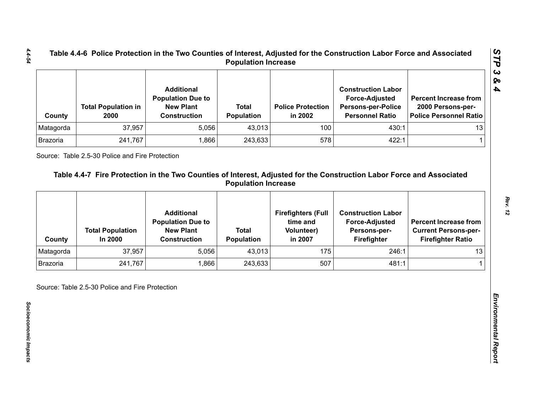| County    | <b>Total Population in</b><br>2000 | <b>Additional</b><br><b>Population Due to</b><br><b>New Plant</b><br><b>Construction</b> | <b>Total</b><br><b>Population</b> | <b>Police Protection</b><br>in 2002 | <b>Construction Labor</b><br><b>Force-Adjusted</b><br><b>Persons-per-Police</b><br><b>Personnel Ratio</b> | <b>Percent Increase from</b><br>2000 Persons-per-<br><b>Police Personnel Ratio</b> |
|-----------|------------------------------------|------------------------------------------------------------------------------------------|-----------------------------------|-------------------------------------|-----------------------------------------------------------------------------------------------------------|------------------------------------------------------------------------------------|
| Matagorda | 37,957                             | 5,056                                                                                    | 43,013                            | 100                                 | 430:1                                                                                                     | 13 <sup>1</sup>                                                                    |
| Brazoria  | 241,767                            | .866                                                                                     | 243,633                           | 578                                 | 422:1                                                                                                     |                                                                                    |

| Matagorda       |                                    | <b>Construction</b>                           | Population                        | in 2002                               | <b>Persons-per-Police</b><br><b>Personnel Ratio</b> | 2000 Persons-per-<br><b>Police Personnel Ratio</b>      |
|-----------------|------------------------------------|-----------------------------------------------|-----------------------------------|---------------------------------------|-----------------------------------------------------|---------------------------------------------------------|
|                 | 37,957                             | 5,056                                         | 43,013                            | 100                                   | 430:1                                               | 13                                                      |
| Brazoria        | 241,767                            | 1,866                                         | 243,633                           | 578                                   | 422:1                                               | 1                                                       |
|                 |                                    | <b>Additional</b><br><b>Population Due to</b> |                                   | <b>Firefighters (Full</b><br>time and | <b>Construction Labor</b><br><b>Force-Adjusted</b>  | <b>Percent Increase from</b>                            |
| County          | <b>Total Population</b><br>In 2000 | <b>New Plant</b><br><b>Construction</b>       | <b>Total</b><br><b>Population</b> | <b>Volunteer)</b><br>in 2007          | Persons-per-<br>Firefighter                         | <b>Current Persons-per-</b><br><b>Firefighter Ratio</b> |
| Matagorda       | 37,957                             | 5,056                                         | 43,013                            | 175                                   | 246:1                                               | 13                                                      |
| <b>Brazoria</b> | 241,767                            | 1,866                                         | 243,633                           | 507                                   | 481:1                                               |                                                         |

*STP 3 & 4*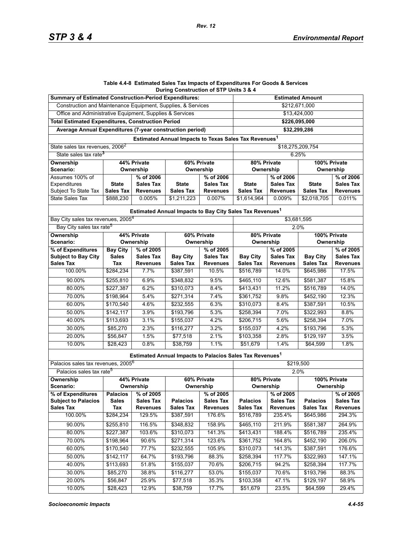#### **Table 4.4-8 Estimated Sales Tax Impacts of Expenditures For Goods & Services During Construction of STP Units 3 & 4**

*Rev. 12*

| <b>Summary of Estimated Construction-Period Expenditures:</b> |                  |                  |                                                                      |                  | <b>Estimated Amount</b>     |                  |                  |                  |  |  |
|---------------------------------------------------------------|------------------|------------------|----------------------------------------------------------------------|------------------|-----------------------------|------------------|------------------|------------------|--|--|
| Construction and Maintenance Equipment, Supplies, & Services  |                  |                  |                                                                      |                  | \$212,671,000               |                  |                  |                  |  |  |
| Office and Administrative Equipment, Supplies & Services      | \$13,424,000     |                  |                                                                      |                  |                             |                  |                  |                  |  |  |
| <b>Total Estimated Expenditures, Construction Period</b>      |                  |                  |                                                                      |                  |                             | \$226,095,000    |                  |                  |  |  |
| Average Annual Expenditures (7-year construction period)      | \$32,299,286     |                  |                                                                      |                  |                             |                  |                  |                  |  |  |
|                                                               |                  |                  | Estimated Annual Impacts to Texas Sales Tax Revenues <sup>1</sup>    |                  |                             |                  |                  |                  |  |  |
| State sales tax revenues, 2006 <sup>2</sup>                   |                  |                  |                                                                      |                  |                             |                  | \$18,275,209,754 |                  |  |  |
| State sales tax rate <sup>3</sup>                             |                  |                  |                                                                      |                  | 6.25%                       |                  |                  |                  |  |  |
| 44% Private<br><b>Ownership</b><br>60% Private                |                  |                  |                                                                      |                  | 80% Private<br>100% Private |                  |                  |                  |  |  |
| Scenario:<br>Ownership                                        |                  | Ownership        |                                                                      | Ownership        |                             | Ownership        |                  |                  |  |  |
| Assumes 100% of                                               | % of 2006        |                  | % of 2006                                                            | % of 2006        |                             | % of 2006        |                  |                  |  |  |
| Expenditures                                                  | <b>State</b>     | <b>Sales Tax</b> | <b>State</b>                                                         | Sales Tax        | <b>State</b>                | <b>Sales Tax</b> | <b>State</b>     | <b>Sales Tax</b> |  |  |
| Subject To State Tax                                          | <b>Sales Tax</b> | <b>Revenues</b>  | <b>Sales Tax</b>                                                     | <b>Revenues</b>  | <b>Sales Tax</b>            | <b>Revenues</b>  | <b>Sales Tax</b> | <b>Revenues</b>  |  |  |
| <b>State Sales Tax</b>                                        | \$888,230        | 0.005%           | \$1,211,223                                                          | 0.007%           | \$1,614,964                 | 0.009%           | \$2,018,705      | 0.011%           |  |  |
|                                                               |                  |                  | Estimated Annual Impacts to Bay City Sales Tax Revenues <sup>1</sup> |                  |                             |                  |                  |                  |  |  |
| Bay City sales tax revenues, 2005 <sup>4</sup>                |                  |                  |                                                                      |                  |                             |                  | \$3,681,595      |                  |  |  |
| Bay City sales tax rate <sup>5</sup>                          |                  |                  |                                                                      |                  | 2.0%                        |                  |                  |                  |  |  |
| Ownership                                                     |                  | 44% Private      | 60% Private                                                          |                  | 80% Private                 |                  | 100% Private     |                  |  |  |
| <b>Scenario:</b>                                              | Ownership        |                  | Ownership                                                            |                  | Ownership                   |                  | Ownership        |                  |  |  |
| % of Expenditures                                             | <b>Bay City</b>  | % of 2005        |                                                                      | % of 2005        |                             | % of 2005        |                  | % of 2005        |  |  |
| <b>Subject to Bay City</b>                                    | <b>Sales</b>     | <b>Sales Tax</b> | <b>Bay City</b>                                                      | Sales Tax        | <b>Bay City</b>             | <b>Sales Tax</b> | <b>Bay City</b>  | <b>Sales Tax</b> |  |  |
| <b>Sales Tax</b>                                              | Tax              | <b>Revenues</b>  | <b>Sales Tax</b>                                                     | <b>Revenues</b>  | <b>Sales Tax</b>            | <b>Revenues</b>  | <b>Sales Tax</b> | <b>Revenues</b>  |  |  |
| 100.00%                                                       | \$284,234        | 7.7%             | \$387,591                                                            | 10.5%            | \$516,789                   | 14.0%            | \$645,986        | 17.5%            |  |  |
| 90.00%                                                        | \$255,810        | 6.9%             | \$348.832                                                            | 9.5%             | \$465,110                   | 12.6%            | \$581,387        | 15.8%            |  |  |
| 80.00%                                                        | \$227,387        | 6.2%             | \$310,073                                                            | 8.4%             | \$413,431                   | 11.2%            | \$516,789        | 14.0%            |  |  |
| 70.00%                                                        | \$198,964        | 5.4%             | \$271,314                                                            | 7.4%             | \$361,752                   | 9.8%             | \$452,190        | 12.3%            |  |  |
| 60.00%                                                        | \$170,540        | 4.6%             | \$232,555                                                            | 6.3%             | \$310,073                   | 8.4%             | \$387,591        | 10.5%            |  |  |
| 50.00%                                                        | \$142, 117       | 3.9%             | \$193,796                                                            | 5.3%             | \$258,394                   | 7.0%             | \$322,993        | 8.8%             |  |  |
| 40.00%                                                        | \$113,693        | 3.1%             | \$155,037                                                            | 4.2%             | \$206,715                   | 5.6%             | \$258,394        | 7.0%             |  |  |
| 30.00%                                                        | \$85,270         | 2.3%             | \$116,277                                                            | 3.2%             | \$155,037                   | 4.2%             | \$193,796        | 5.3%             |  |  |
| 20.00%                                                        | \$56,847         | 1.5%             | \$77,518                                                             | 2.1%             | \$103,358                   | 2.8%             | \$129,197        | 3.5%             |  |  |
| 10.00%                                                        | \$28,423         | 0.8%             | \$38,759                                                             | 1.1%             | \$51,679                    | 1.4%             | \$64,599         | 1.8%             |  |  |
|                                                               |                  |                  | Estimated Annual Impacts to Palacios Sales Tax Revenues <sup>1</sup> |                  |                             |                  |                  |                  |  |  |
| Palacios sales tax revenues, 2005 <sup>6</sup>                |                  |                  |                                                                      |                  |                             |                  | \$219,500        |                  |  |  |
| Palacios sales tax rate <sup>5</sup>                          |                  |                  |                                                                      |                  |                             |                  | 2.0%             |                  |  |  |
| Ownership                                                     |                  | 44% Private      |                                                                      | 60% Private      | 80% Private                 |                  | 100% Private     |                  |  |  |
| Scenario:                                                     |                  | Ownership        |                                                                      | Ownership        |                             | Ownership        |                  | Ownership        |  |  |
| % of Expenditures                                             | <b>Palacios</b>  | % of 2005        |                                                                      | % of 2005        |                             | % of 2005        |                  | % of 2005        |  |  |
| <b>Subject to Palacios</b>                                    | <b>Sales</b>     | <b>Sales Tax</b> | <b>Palacios</b>                                                      | <b>Sales Tax</b> | <b>Palacios</b>             | <b>Sales Tax</b> | <b>Palacios</b>  | <b>Sales Tax</b> |  |  |
| <b>Sales Tax</b>                                              | Tax              | <b>Revenues</b>  | <b>Sales Tax</b>                                                     | <b>Revenues</b>  | <b>Sales Tax</b>            | <b>Revenues</b>  | <b>Sales Tax</b> | <b>Revenues</b>  |  |  |
| 100.00%                                                       | \$284,234        | 129.5%           | \$387,591                                                            | 176.6%           | \$516,789                   | 235.4%           | \$645,986        | 294.3%           |  |  |
| 90.00%                                                        | \$255,810        | 116.5%           | \$348,832                                                            | 158.9%           | \$465,110                   | 211.9%           | \$581,387        | 264.9%           |  |  |
| 80.00%                                                        | \$227,387        | 103.6%           | \$310,073                                                            | 141.3%           | \$413,431                   | 188.4%           | \$516,789        | 235.4%           |  |  |
| 70.00%                                                        | \$198,964        | 90.6%            | \$271,314                                                            | 123.6%           | \$361,752                   | 164.8%           | \$452,190        | 206.0%           |  |  |
| 60.00%                                                        | \$170,540        | 77.7%            | \$232,555                                                            | 105.9%           | \$310,073                   | 141.3%           | \$387,591        | 176.6%           |  |  |
| 50.00%                                                        | \$142,117        | 64.7%            | \$193,796                                                            | 88.3%            | \$258,394                   | 117.7%           | \$322,993        | 147.1%           |  |  |
| 40.00%                                                        | \$113,693        | 51.8%            | \$155,037                                                            | 70.6%            | \$206,715                   | 94.2%            | \$258,394        | 117.7%           |  |  |
| 30.00%                                                        | \$85,270         | 38.8%            | \$116,277                                                            | 53.0%            | \$155,037                   | 70.6%            | \$193,796        | 88.3%            |  |  |
| 20.00%                                                        | \$56,847         | 25.9%            | \$77,518                                                             | 35.3%            | \$103,358                   | 47.1%            | \$129,197        | 58.9%            |  |  |
| 10.00%                                                        | \$28,423         | 12.9%            | \$38,759                                                             | 17.7%            | \$51,679                    | 23.5%            | \$64,599         | 29.4%            |  |  |